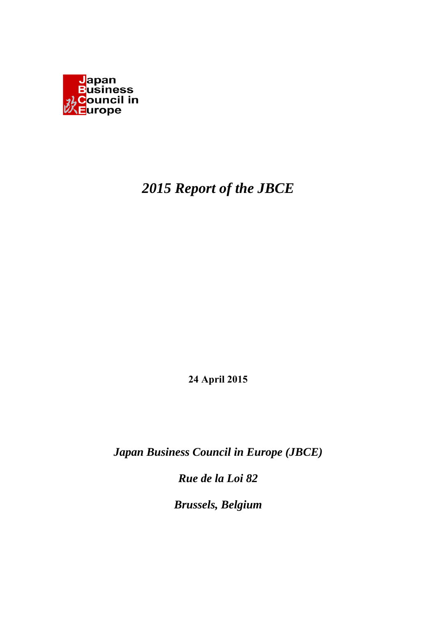

# *2015 Report of the JBCE*

**24 April 2015** 

*Japan Business Council in Europe (JBCE)* 

*Rue de la Loi 82* 

*Brussels, Belgium*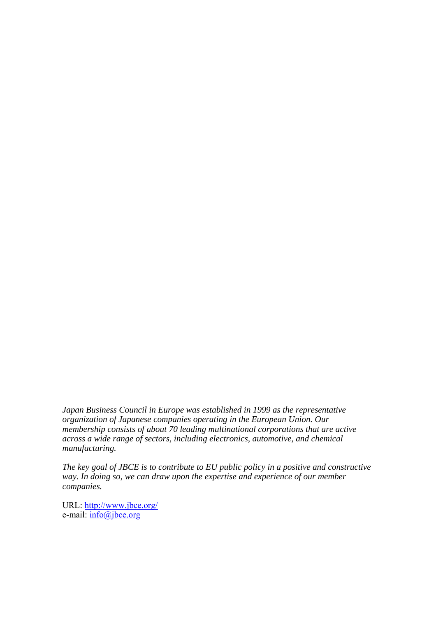*Japan Business Council in Europe was established in 1999 as the representative organization of Japanese companies operating in the European Union. Our membership consists of about 70 leading multinational corporations that are active across a wide range of sectors, including electronics, automotive, and chemical manufacturing.* 

*The key goal of JBCE is to contribute to EU public policy in a positive and constructive way. In doing so, we can draw upon the expertise and experience of our member companies.* 

URL: http://www.jbce.org/ e-mail: *info@jbce.org*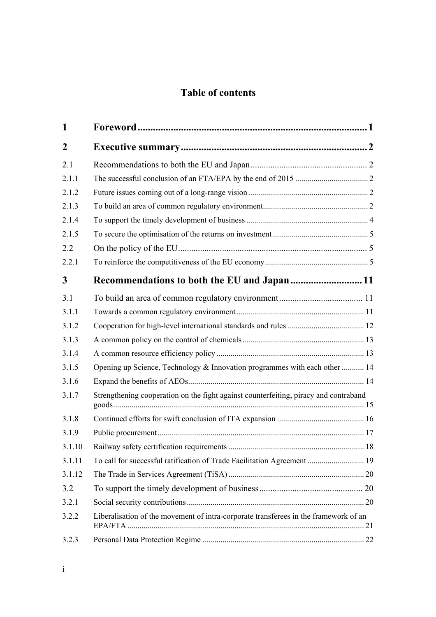## **Table of contents**

| $\mathbf{1}$     |                                                                                      |  |
|------------------|--------------------------------------------------------------------------------------|--|
| $\boldsymbol{2}$ |                                                                                      |  |
| 2.1              |                                                                                      |  |
| 2.1.1            |                                                                                      |  |
| 2.1.2            |                                                                                      |  |
| 2.1.3            |                                                                                      |  |
| 2.1.4            |                                                                                      |  |
| 2.1.5            |                                                                                      |  |
| 2.2              |                                                                                      |  |
| 2.2.1            |                                                                                      |  |
| 3                | Recommendations to both the EU and Japan 11                                          |  |
| 3.1              |                                                                                      |  |
| 3.1.1            |                                                                                      |  |
| 3.1.2            |                                                                                      |  |
| 3.1.3            |                                                                                      |  |
| 3.1.4            |                                                                                      |  |
| 3.1.5            | Opening up Science, Technology & Innovation programmes with each other  14           |  |
| 3.1.6            |                                                                                      |  |
| 3.1.7            | Strengthening cooperation on the fight against counterfeiting, piracy and contraband |  |
| 3.1.8            |                                                                                      |  |
| 3.1.9            |                                                                                      |  |
| 3.1.10           |                                                                                      |  |
| 3.1.11           | To call for successful ratification of Trade Facilitation Agreement  19              |  |
| 3.1.12           |                                                                                      |  |
| 3.2              |                                                                                      |  |
| 3.2.1            |                                                                                      |  |
| 3.2.2            | Liberalisation of the movement of intra-corporate transferees in the framework of an |  |
| 3.2.3            |                                                                                      |  |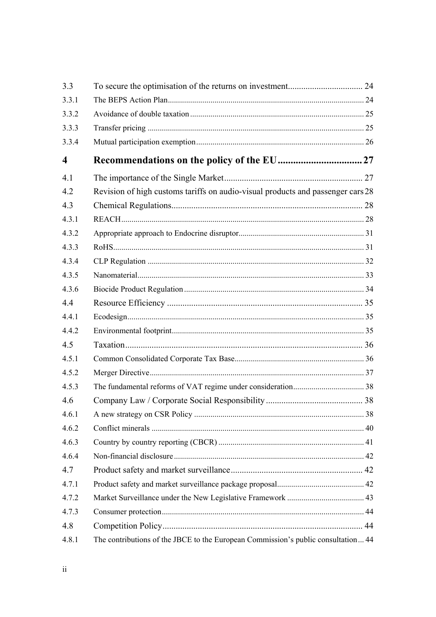| 3.3                     |                                                                                   |  |
|-------------------------|-----------------------------------------------------------------------------------|--|
| 3.3.1                   |                                                                                   |  |
| 3.3.2                   |                                                                                   |  |
| 3.3.3                   |                                                                                   |  |
| 3.3.4                   |                                                                                   |  |
| $\overline{\mathbf{4}}$ |                                                                                   |  |
| 4.1                     |                                                                                   |  |
| 4.2                     | Revision of high customs tariffs on audio-visual products and passenger cars 28   |  |
| 4.3                     |                                                                                   |  |
| 4.3.1                   |                                                                                   |  |
| 4.3.2                   |                                                                                   |  |
| 4.3.3                   |                                                                                   |  |
| 4.3.4                   |                                                                                   |  |
| 4.3.5                   |                                                                                   |  |
| 4.3.6                   |                                                                                   |  |
| 4.4                     |                                                                                   |  |
| 4.4.1                   |                                                                                   |  |
| 4.4.2                   |                                                                                   |  |
| 4.5                     |                                                                                   |  |
| 4.5.1                   |                                                                                   |  |
| 4.5.2                   |                                                                                   |  |
| 4.5.3                   |                                                                                   |  |
| 4.6                     |                                                                                   |  |
| 4.6.1                   |                                                                                   |  |
| 4.6.2                   |                                                                                   |  |
| 4.6.3                   |                                                                                   |  |
| 4.6.4                   |                                                                                   |  |
| 4.7                     |                                                                                   |  |
| 4.7.1                   |                                                                                   |  |
| 4.7.2                   |                                                                                   |  |
| 4.7.3                   |                                                                                   |  |
| 4.8                     |                                                                                   |  |
| 4.8.1                   | The contributions of the JBCE to the European Commission's public consultation 44 |  |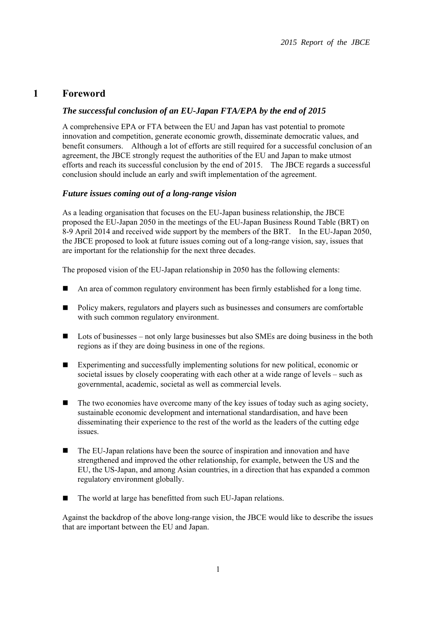## **1 Foreword**

## *The successful conclusion of an EU-Japan FTA/EPA by the end of 2015*

A comprehensive EPA or FTA between the EU and Japan has vast potential to promote innovation and competition, generate economic growth, disseminate democratic values, and benefit consumers. Although a lot of efforts are still required for a successful conclusion of an agreement, the JBCE strongly request the authorities of the EU and Japan to make utmost efforts and reach its successful conclusion by the end of 2015. The JBCE regards a successful conclusion should include an early and swift implementation of the agreement.

## *Future issues coming out of a long-range vision*

As a leading organisation that focuses on the EU-Japan business relationship, the JBCE proposed the EU-Japan 2050 in the meetings of the EU-Japan Business Round Table (BRT) on 8-9 April 2014 and received wide support by the members of the BRT. In the EU-Japan 2050, the JBCE proposed to look at future issues coming out of a long-range vision, say, issues that are important for the relationship for the next three decades.

The proposed vision of the EU-Japan relationship in 2050 has the following elements:

- An area of common regulatory environment has been firmly established for a long time.
- Policy makers, regulators and players such as businesses and consumers are comfortable with such common regulatory environment.
- Lots of businesses not only large businesses but also SMEs are doing business in the both regions as if they are doing business in one of the regions.
- Experimenting and successfully implementing solutions for new political, economic or societal issues by closely cooperating with each other at a wide range of levels – such as governmental, academic, societal as well as commercial levels.
- The two economies have overcome many of the key issues of today such as aging society, sustainable economic development and international standardisation, and have been disseminating their experience to the rest of the world as the leaders of the cutting edge issues.
- The EU-Japan relations have been the source of inspiration and innovation and have strengthened and improved the other relationship, for example, between the US and the EU, the US-Japan, and among Asian countries, in a direction that has expanded a common regulatory environment globally.
- The world at large has benefitted from such EU-Japan relations.

Against the backdrop of the above long-range vision, the JBCE would like to describe the issues that are important between the EU and Japan.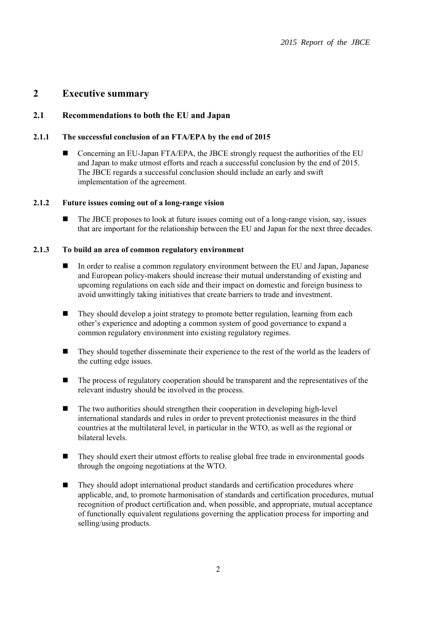## **2 Executive summary**

## **2.1 Recommendations to both the EU and Japan**

#### **2.1.1 The successful conclusion of an FTA/EPA by the end of 2015**

 Concerning an EU-Japan FTA/EPA, the JBCE strongly request the authorities of the EU and Japan to make utmost efforts and reach a successful conclusion by the end of 2015. The JBCE regards a successful conclusion should include an early and swift implementation of the agreement.

#### **2.1.2 Future issues coming out of a long-range vision**

 The JBCE proposes to look at future issues coming out of a long-range vision, say, issues that are important for the relationship between the EU and Japan for the next three decades.

#### **2.1.3 To build an area of common regulatory environment**

- In order to realise a common regulatory environment between the EU and Japan, Japanese and European policy-makers should increase their mutual understanding of existing and upcoming regulations on each side and their impact on domestic and foreign business to avoid unwittingly taking initiatives that create barriers to trade and investment.
- They should develop a joint strategy to promote better regulation, learning from each other's experience and adopting a common system of good governance to expand a common regulatory environment into existing regulatory regimes.
- They should together disseminate their experience to the rest of the world as the leaders of the cutting edge issues.
- The process of regulatory cooperation should be transparent and the representatives of the relevant industry should be involved in the process.
- $\blacksquare$  The two authorities should strengthen their cooperation in developing high-level international standards and rules in order to prevent protectionist measures in the third countries at the multilateral level, in particular in the WTO, as well as the regional or bilateral levels.
- They should exert their utmost efforts to realise global free trade in environmental goods through the ongoing negotiations at the WTO.
- They should adopt international product standards and certification procedures where applicable, and, to promote harmonisation of standards and certification procedures, mutual recognition of product certification and, when possible, and appropriate, mutual acceptance of functionally equivalent regulations governing the application process for importing and selling/using products.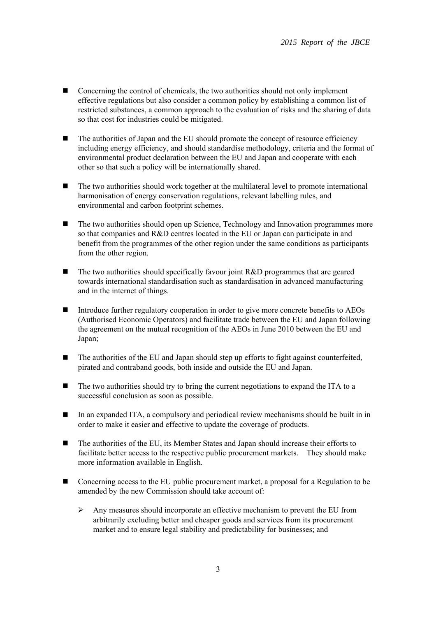- Concerning the control of chemicals, the two authorities should not only implement effective regulations but also consider a common policy by establishing a common list of restricted substances, a common approach to the evaluation of risks and the sharing of data so that cost for industries could be mitigated.
- The authorities of Japan and the EU should promote the concept of resource efficiency including energy efficiency, and should standardise methodology, criteria and the format of environmental product declaration between the EU and Japan and cooperate with each other so that such a policy will be internationally shared.
- The two authorities should work together at the multilateral level to promote international harmonisation of energy conservation regulations, relevant labelling rules, and environmental and carbon footprint schemes.
- The two authorities should open up Science, Technology and Innovation programmes more so that companies and R&D centres located in the EU or Japan can participate in and benefit from the programmes of the other region under the same conditions as participants from the other region.
- The two authorities should specifically favour joint R&D programmes that are geared towards international standardisation such as standardisation in advanced manufacturing and in the internet of things.
- Introduce further regulatory cooperation in order to give more concrete benefits to AEOs (Authorised Economic Operators) and facilitate trade between the EU and Japan following the agreement on the mutual recognition of the AEOs in June 2010 between the EU and Japan;
- The authorities of the EU and Japan should step up efforts to fight against counterfeited, pirated and contraband goods, both inside and outside the EU and Japan.
- $\blacksquare$  The two authorities should try to bring the current negotiations to expand the ITA to a successful conclusion as soon as possible.
- In an expanded ITA, a compulsory and periodical review mechanisms should be built in in order to make it easier and effective to update the coverage of products.
- The authorities of the EU, its Member States and Japan should increase their efforts to facilitate better access to the respective public procurement markets. They should make more information available in English.
- Concerning access to the EU public procurement market, a proposal for a Regulation to be amended by the new Commission should take account of:
	- $\triangleright$  Any measures should incorporate an effective mechanism to prevent the EU from arbitrarily excluding better and cheaper goods and services from its procurement market and to ensure legal stability and predictability for businesses; and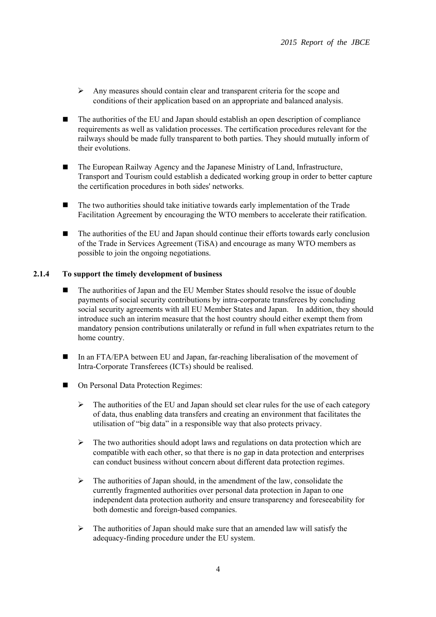- $\triangleright$  Any measures should contain clear and transparent criteria for the scope and conditions of their application based on an appropriate and balanced analysis.
- The authorities of the EU and Japan should establish an open description of compliance requirements as well as validation processes. The certification procedures relevant for the railways should be made fully transparent to both parties. They should mutually inform of their evolutions.
- The European Railway Agency and the Japanese Ministry of Land, Infrastructure, Transport and Tourism could establish a dedicated working group in order to better capture the certification procedures in both sides' networks.
- $\blacksquare$  The two authorities should take initiative towards early implementation of the Trade Facilitation Agreement by encouraging the WTO members to accelerate their ratification.
- The authorities of the EU and Japan should continue their efforts towards early conclusion of the Trade in Services Agreement (TiSA) and encourage as many WTO members as possible to join the ongoing negotiations.

## **2.1.4 To support the timely development of business**

- The authorities of Japan and the EU Member States should resolve the issue of double payments of social security contributions by intra-corporate transferees by concluding social security agreements with all EU Member States and Japan. In addition, they should introduce such an interim measure that the host country should either exempt them from mandatory pension contributions unilaterally or refund in full when expatriates return to the home country.
- In an FTA/EPA between EU and Japan, far-reaching liberalisation of the movement of Intra-Corporate Transferees (ICTs) should be realised.
- On Personal Data Protection Regimes:
	- $\triangleright$  The authorities of the EU and Japan should set clear rules for the use of each category of data, thus enabling data transfers and creating an environment that facilitates the utilisation of "big data" in a responsible way that also protects privacy.
	- $\triangleright$  The two authorities should adopt laws and regulations on data protection which are compatible with each other, so that there is no gap in data protection and enterprises can conduct business without concern about different data protection regimes.
	- $\triangleright$  The authorities of Japan should, in the amendment of the law, consolidate the currently fragmented authorities over personal data protection in Japan to one independent data protection authority and ensure transparency and foreseeability for both domestic and foreign-based companies.
	- $\triangleright$  The authorities of Japan should make sure that an amended law will satisfy the adequacy-finding procedure under the EU system.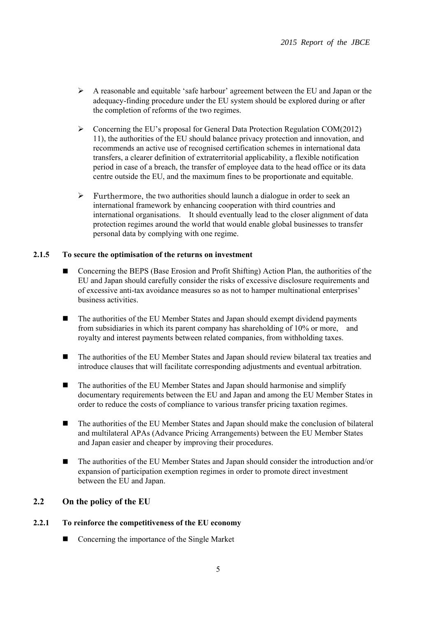- A reasonable and equitable 'safe harbour' agreement between the EU and Japan or the adequacy-finding procedure under the EU system should be explored during or after the completion of reforms of the two regimes.
- $\triangleright$  Concerning the EU's proposal for General Data Protection Regulation COM(2012) 11), the authorities of the EU should balance privacy protection and innovation, and recommends an active use of recognised certification schemes in international data transfers, a clearer definition of extraterritorial applicability, a flexible notification period in case of a breach, the transfer of employee data to the head office or its data centre outside the EU, and the maximum fines to be proportionate and equitable.
- $\triangleright$  Furthermore, the two authorities should launch a dialogue in order to seek an international framework by enhancing cooperation with third countries and international organisations. It should eventually lead to the closer alignment of data protection regimes around the world that would enable global businesses to transfer personal data by complying with one regime.

## **2.1.5 To secure the optimisation of the returns on investment**

- Concerning the BEPS (Base Erosion and Profit Shifting) Action Plan, the authorities of the EU and Japan should carefully consider the risks of excessive disclosure requirements and of excessive anti-tax avoidance measures so as not to hamper multinational enterprises' business activities.
- The authorities of the EU Member States and Japan should exempt dividend payments from subsidiaries in which its parent company has shareholding of 10% or more, and royalty and interest payments between related companies, from withholding taxes.
- The authorities of the EU Member States and Japan should review bilateral tax treaties and introduce clauses that will facilitate corresponding adjustments and eventual arbitration.
- The authorities of the EU Member States and Japan should harmonise and simplify documentary requirements between the EU and Japan and among the EU Member States in order to reduce the costs of compliance to various transfer pricing taxation regimes.
- The authorities of the EU Member States and Japan should make the conclusion of bilateral and multilateral APAs (Advance Pricing Arrangements) between the EU Member States and Japan easier and cheaper by improving their procedures.
- The authorities of the EU Member States and Japan should consider the introduction and/or expansion of participation exemption regimes in order to promote direct investment between the EU and Japan.

## **2.2 On the policy of the EU**

## **2.2.1 To reinforce the competitiveness of the EU economy**

■ Concerning the importance of the Single Market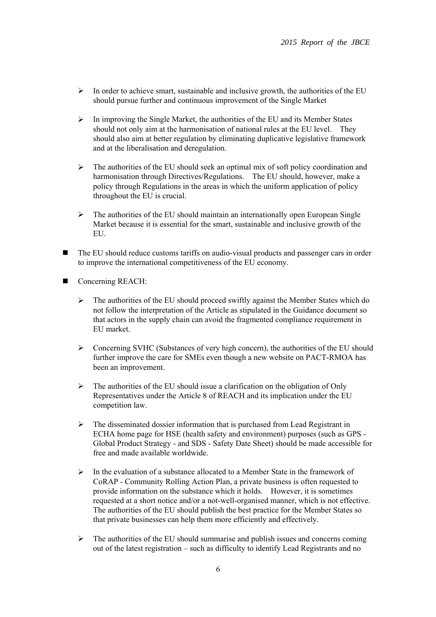- $\triangleright$  In order to achieve smart, sustainable and inclusive growth, the authorities of the EU should pursue further and continuous improvement of the Single Market
- $\triangleright$  In improving the Single Market, the authorities of the EU and its Member States should not only aim at the harmonisation of national rules at the EU level. They should also aim at better regulation by eliminating duplicative legislative framework and at the liberalisation and deregulation.
- $\triangleright$  The authorities of the EU should seek an optimal mix of soft policy coordination and harmonisation through Directives/Regulations. The EU should, however, make a policy through Regulations in the areas in which the uniform application of policy throughout the EU is crucial.
- $\triangleright$  The authorities of the EU should maintain an internationally open European Single Market because it is essential for the smart, sustainable and inclusive growth of the EU.
- The EU should reduce customs tariffs on audio-visual products and passenger cars in order to improve the international competitiveness of the EU economy.
- Concerning REACH:
	- $\triangleright$  The authorities of the EU should proceed swiftly against the Member States which do not follow the interpretation of the Article as stipulated in the Guidance document so that actors in the supply chain can avoid the fragmented compliance requirement in EU market.
	- $\triangleright$  Concerning SVHC (Substances of very high concern), the authorities of the EU should further improve the care for SMEs even though a new website on PACT-RMOA has been an improvement.
	- $\triangleright$  The authorities of the EU should issue a clarification on the obligation of Only Representatives under the Article 8 of REACH and its implication under the EU competition law.
	- $\triangleright$  The disseminated dossier information that is purchased from Lead Registrant in ECHA home page for HSE (health safety and environment) purposes (such as GPS - Global Product Strategy - and SDS - Safety Date Sheet) should be made accessible for free and made available worldwide.
	- $\triangleright$  In the evaluation of a substance allocated to a Member State in the framework of CoRAP - Community Rolling Action Plan, a private business is often requested to provide information on the substance which it holds. However, it is sometimes requested at a short notice and/or a not-well-organised manner, which is not effective. The authorities of the EU should publish the best practice for the Member States so that private businesses can help them more efficiently and effectively.
	- $\triangleright$  The authorities of the EU should summarise and publish issues and concerns coming out of the latest registration – such as difficulty to identify Lead Registrants and no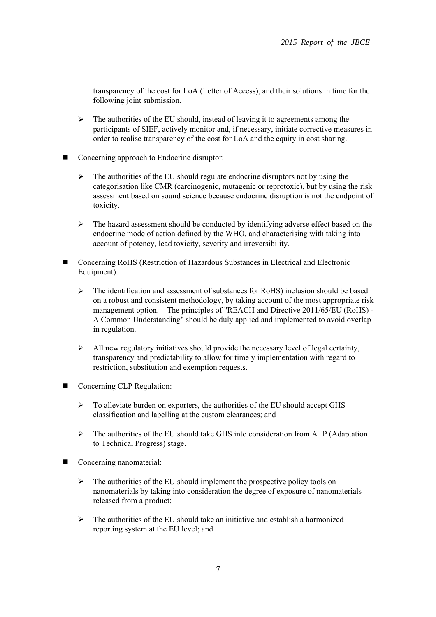transparency of the cost for LoA (Letter of Access), and their solutions in time for the following joint submission.

- $\triangleright$  The authorities of the EU should, instead of leaving it to agreements among the participants of SIEF, actively monitor and, if necessary, initiate corrective measures in order to realise transparency of the cost for LoA and the equity in cost sharing.
- Concerning approach to Endocrine disruptor:
	- $\triangleright$  The authorities of the EU should regulate endocrine disruptors not by using the categorisation like CMR (carcinogenic, mutagenic or reprotoxic), but by using the risk assessment based on sound science because endocrine disruption is not the endpoint of toxicity.
	- $\triangleright$  The hazard assessment should be conducted by identifying adverse effect based on the endocrine mode of action defined by the WHO, and characterising with taking into account of potency, lead toxicity, severity and irreversibility.
- Concerning RoHS (Restriction of Hazardous Substances in Electrical and Electronic Equipment):
	- $\triangleright$  The identification and assessment of substances for RoHS) inclusion should be based on a robust and consistent methodology, by taking account of the most appropriate risk management option. The principles of "REACH and Directive 2011/65/EU (RoHS) -A Common Understanding" should be duly applied and implemented to avoid overlap in regulation.
	- $\triangleright$  All new regulatory initiatives should provide the necessary level of legal certainty, transparency and predictability to allow for timely implementation with regard to restriction, substitution and exemption requests.
- Concerning CLP Regulation:
	- $\triangleright$  To alleviate burden on exporters, the authorities of the EU should accept GHS classification and labelling at the custom clearances; and
	- $\triangleright$  The authorities of the EU should take GHS into consideration from ATP (Adaptation to Technical Progress) stage.
- Concerning nanomaterial:
	- $\triangleright$  The authorities of the EU should implement the prospective policy tools on nanomaterials by taking into consideration the degree of exposure of nanomaterials released from a product;
	- $\triangleright$  The authorities of the EU should take an initiative and establish a harmonized reporting system at the EU level; and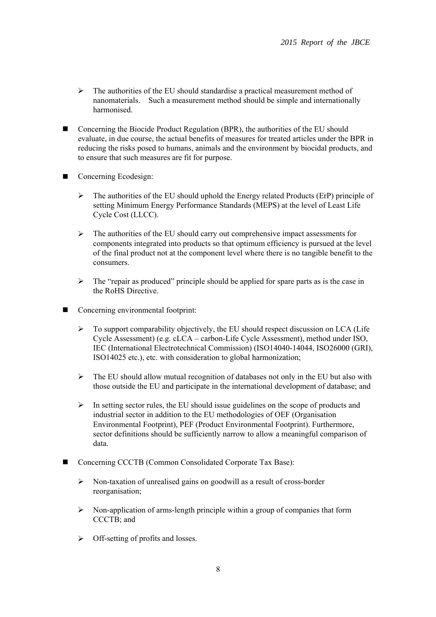- $\triangleright$  The authorities of the EU should standardise a practical measurement method of nanomaterials. Such a measurement method should be simple and internationally harmonised.
- Concerning the Biocide Product Regulation (BPR), the authorities of the EU should evaluate, in due course, the actual benefits of measures for treated articles under the BPR in reducing the risks posed to humans, animals and the environment by biocidal products, and to ensure that such measures are fit for purpose.
- Concerning Ecodesign:
	- $\triangleright$  The authorities of the EU should uphold the Energy related Products (ErP) principle of setting Minimum Energy Performance Standards (MEPS) at the level of Least Life Cycle Cost (LLCC).
	- $\triangleright$  The authorities of the EU should carry out comprehensive impact assessments for components integrated into products so that optimum efficiency is pursued at the level of the final product not at the component level where there is no tangible benefit to the consumers.
	- $\triangleright$  The "repair as produced" principle should be applied for spare parts as is the case in the RoHS Directive.
- Concerning environmental footprint:
	- $\triangleright$  To support comparability objectively, the EU should respect discussion on LCA (Life Cycle Assessment) (e.g. cLCA – carbon-Life Cycle Assessment), method under ISO, IEC (International Electrotechnical Commission) (ISO14040-14044, ISO26000 (GRI), ISO14025 etc.), etc. with consideration to global harmonization;
	- $\triangleright$  The EU should allow mutual recognition of databases not only in the EU but also with those outside the EU and participate in the international development of database; and
	- $\triangleright$  In setting sector rules, the EU should issue guidelines on the scope of products and industrial sector in addition to the EU methodologies of OEF (Organisation Environmental Footprint), PEF (Product Environmental Footprint). Furthermore, sector definitions should be sufficiently narrow to allow a meaningful comparison of data.
- Concerning CCCTB (Common Consolidated Corporate Tax Base):
	- Non-taxation of unrealised gains on goodwill as a result of cross-border reorganisation;
	- $\triangleright$  Non-application of arms-length principle within a group of companies that form CCCTB; and
	- $\triangleright$  Off-setting of profits and losses.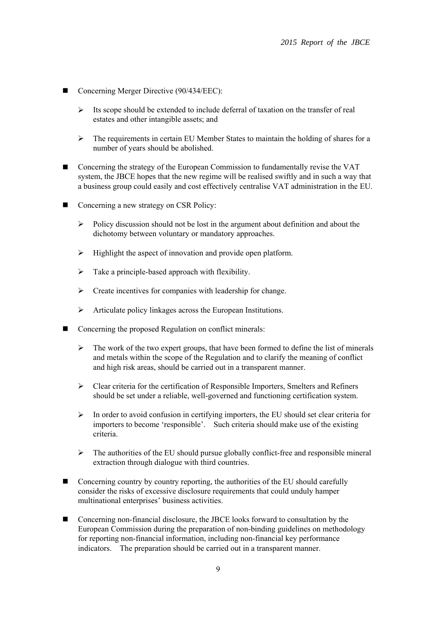- Concerning Merger Directive (90/434/EEC):
	- $\triangleright$  Its scope should be extended to include deferral of taxation on the transfer of real estates and other intangible assets; and
	- $\triangleright$  The requirements in certain EU Member States to maintain the holding of shares for a number of years should be abolished.
- Concerning the strategy of the European Commission to fundamentally revise the VAT system, the JBCE hopes that the new regime will be realised swiftly and in such a way that a business group could easily and cost effectively centralise VAT administration in the EU.
- Concerning a new strategy on CSR Policy:
	- $\triangleright$  Policy discussion should not be lost in the argument about definition and about the dichotomy between voluntary or mandatory approaches.
	- $\triangleright$  Highlight the aspect of innovation and provide open platform.
	- $\triangleright$  Take a principle-based approach with flexibility.
	- $\triangleright$  Create incentives for companies with leadership for change.
	- $\triangleright$  Articulate policy linkages across the European Institutions.
- Concerning the proposed Regulation on conflict minerals:
	- $\triangleright$  The work of the two expert groups, that have been formed to define the list of minerals and metals within the scope of the Regulation and to clarify the meaning of conflict and high risk areas, should be carried out in a transparent manner.
	- $\triangleright$  Clear criteria for the certification of Responsible Importers, Smelters and Refiners should be set under a reliable, well-governed and functioning certification system.
	- $\triangleright$  In order to avoid confusion in certifying importers, the EU should set clear criteria for importers to become 'responsible'. Such criteria should make use of the existing criteria.
	- $\triangleright$  The authorities of the EU should pursue globally conflict-free and responsible mineral extraction through dialogue with third countries.
- Concerning country by country reporting, the authorities of the EU should carefully consider the risks of excessive disclosure requirements that could unduly hamper multinational enterprises' business activities.
- Concerning non-financial disclosure, the JBCE looks forward to consultation by the European Commission during the preparation of non-binding guidelines on methodology for reporting non-financial information, including non-financial key performance indicators. The preparation should be carried out in a transparent manner.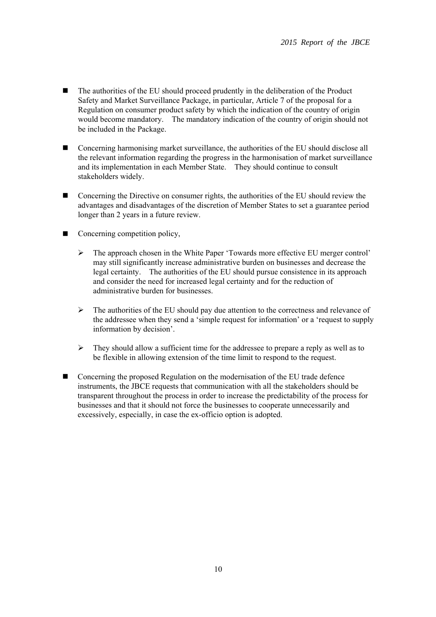- The authorities of the EU should proceed prudently in the deliberation of the Product Safety and Market Surveillance Package, in particular, Article 7 of the proposal for a Regulation on consumer product safety by which the indication of the country of origin would become mandatory. The mandatory indication of the country of origin should not be included in the Package.
- Concerning harmonising market surveillance, the authorities of the EU should disclose all the relevant information regarding the progress in the harmonisation of market surveillance and its implementation in each Member State. They should continue to consult stakeholders widely.
- Concerning the Directive on consumer rights, the authorities of the EU should review the advantages and disadvantages of the discretion of Member States to set a guarantee period longer than 2 years in a future review.
- Concerning competition policy,
	- The approach chosen in the White Paper 'Towards more effective EU merger control' may still significantly increase administrative burden on businesses and decrease the legal certainty. The authorities of the EU should pursue consistence in its approach and consider the need for increased legal certainty and for the reduction of administrative burden for businesses.
	- $\triangleright$  The authorities of the EU should pay due attention to the correctness and relevance of the addressee when they send a 'simple request for information' or a 'request to supply information by decision'.
	- $\triangleright$  They should allow a sufficient time for the addressee to prepare a reply as well as to be flexible in allowing extension of the time limit to respond to the request.
- Concerning the proposed Regulation on the modernisation of the EU trade defence instruments, the JBCE requests that communication with all the stakeholders should be transparent throughout the process in order to increase the predictability of the process for businesses and that it should not force the businesses to cooperate unnecessarily and excessively, especially, in case the ex-officio option is adopted.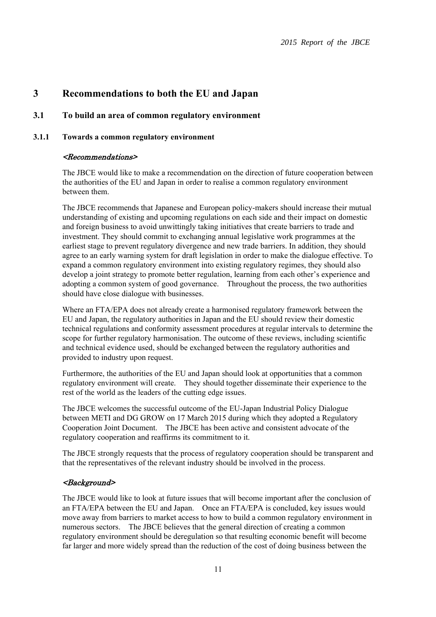## **3 Recommendations to both the EU and Japan**

## **3.1 To build an area of common regulatory environment**

## **3.1.1 Towards a common regulatory environment**

## <Recommendations>

The JBCE would like to make a recommendation on the direction of future cooperation between the authorities of the EU and Japan in order to realise a common regulatory environment between them.

The JBCE recommends that Japanese and European policy-makers should increase their mutual understanding of existing and upcoming regulations on each side and their impact on domestic and foreign business to avoid unwittingly taking initiatives that create barriers to trade and investment. They should commit to exchanging annual legislative work programmes at the earliest stage to prevent regulatory divergence and new trade barriers. In addition, they should agree to an early warning system for draft legislation in order to make the dialogue effective. To expand a common regulatory environment into existing regulatory regimes, they should also develop a joint strategy to promote better regulation, learning from each other's experience and adopting a common system of good governance. Throughout the process, the two authorities should have close dialogue with businesses.

Where an FTA/EPA does not already create a harmonised regulatory framework between the EU and Japan, the regulatory authorities in Japan and the EU should review their domestic technical regulations and conformity assessment procedures at regular intervals to determine the scope for further regulatory harmonisation. The outcome of these reviews, including scientific and technical evidence used, should be exchanged between the regulatory authorities and provided to industry upon request.

Furthermore, the authorities of the EU and Japan should look at opportunities that a common regulatory environment will create. They should together disseminate their experience to the rest of the world as the leaders of the cutting edge issues.

The JBCE welcomes the successful outcome of the EU-Japan Industrial Policy Dialogue between METI and DG GROW on 17 March 2015 during which they adopted a Regulatory Cooperation Joint Document. The JBCE has been active and consistent advocate of the regulatory cooperation and reaffirms its commitment to it.

The JBCE strongly requests that the process of regulatory cooperation should be transparent and that the representatives of the relevant industry should be involved in the process.

## <Background>

The JBCE would like to look at future issues that will become important after the conclusion of an FTA/EPA between the EU and Japan. Once an FTA/EPA is concluded, key issues would move away from barriers to market access to how to build a common regulatory environment in numerous sectors. The JBCE believes that the general direction of creating a common regulatory environment should be deregulation so that resulting economic benefit will become far larger and more widely spread than the reduction of the cost of doing business between the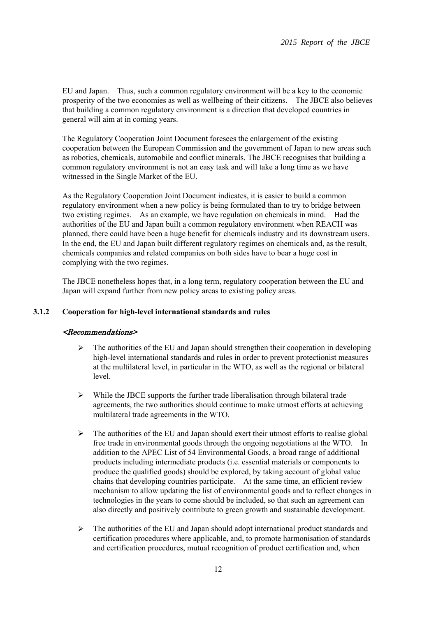EU and Japan. Thus, such a common regulatory environment will be a key to the economic prosperity of the two economies as well as wellbeing of their citizens. The JBCE also believes that building a common regulatory environment is a direction that developed countries in general will aim at in coming years.

The Regulatory Cooperation Joint Document foresees the enlargement of the existing cooperation between the European Commission and the government of Japan to new areas such as robotics, chemicals, automobile and conflict minerals. The JBCE recognises that building a common regulatory environment is not an easy task and will take a long time as we have witnessed in the Single Market of the EU.

As the Regulatory Cooperation Joint Document indicates, it is easier to build a common regulatory environment when a new policy is being formulated than to try to bridge between two existing regimes. As an example, we have regulation on chemicals in mind. Had the authorities of the EU and Japan built a common regulatory environment when REACH was planned, there could have been a huge benefit for chemicals industry and its downstream users. In the end, the EU and Japan built different regulatory regimes on chemicals and, as the result, chemicals companies and related companies on both sides have to bear a huge cost in complying with the two regimes.

The JBCE nonetheless hopes that, in a long term, regulatory cooperation between the EU and Japan will expand further from new policy areas to existing policy areas.

## **3.1.2 Cooperation for high-level international standards and rules**

#### <Recommendations>

- $\triangleright$  The authorities of the EU and Japan should strengthen their cooperation in developing high-level international standards and rules in order to prevent protectionist measures at the multilateral level, in particular in the WTO, as well as the regional or bilateral level.
- $\triangleright$  While the JBCE supports the further trade liberalisation through bilateral trade agreements, the two authorities should continue to make utmost efforts at achieving multilateral trade agreements in the WTO.
- $\triangleright$  The authorities of the EU and Japan should exert their utmost efforts to realise global free trade in environmental goods through the ongoing negotiations at the WTO. In addition to the APEC List of 54 Environmental Goods, a broad range of additional products including intermediate products (i.e. essential materials or components to produce the qualified goods) should be explored, by taking account of global value chains that developing countries participate. At the same time, an efficient review mechanism to allow updating the list of environmental goods and to reflect changes in technologies in the years to come should be included, so that such an agreement can also directly and positively contribute to green growth and sustainable development.
- $\triangleright$  The authorities of the EU and Japan should adopt international product standards and certification procedures where applicable, and, to promote harmonisation of standards and certification procedures, mutual recognition of product certification and, when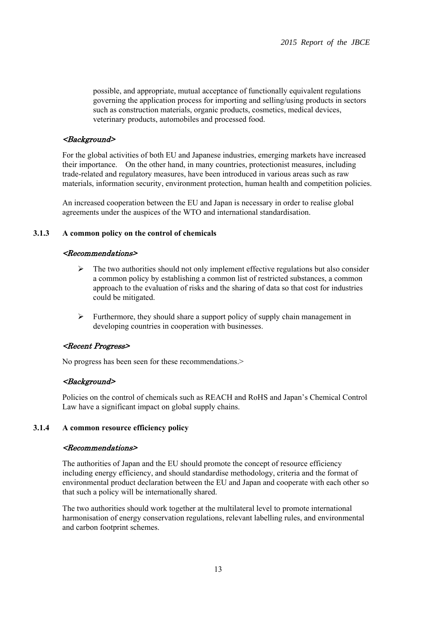possible, and appropriate, mutual acceptance of functionally equivalent regulations governing the application process for importing and selling/using products in sectors such as construction materials, organic products, cosmetics, medical devices, veterinary products, automobiles and processed food.

#### <Background>

For the global activities of both EU and Japanese industries, emerging markets have increased their importance. On the other hand, in many countries, protectionist measures, including trade-related and regulatory measures, have been introduced in various areas such as raw materials, information security, environment protection, human health and competition policies.

An increased cooperation between the EU and Japan is necessary in order to realise global agreements under the auspices of the WTO and international standardisation.

#### **3.1.3 A common policy on the control of chemicals**

#### <Recommendations>

- $\triangleright$  The two authorities should not only implement effective regulations but also consider a common policy by establishing a common list of restricted substances, a common approach to the evaluation of risks and the sharing of data so that cost for industries could be mitigated.
- $\triangleright$  Furthermore, they should share a support policy of supply chain management in developing countries in cooperation with businesses.

## <Recent Progress>

No progress has been seen for these recommendations.>

## <Background>

Policies on the control of chemicals such as REACH and RoHS and Japan's Chemical Control Law have a significant impact on global supply chains.

## **3.1.4 A common resource efficiency policy**

#### <Recommendations>

The authorities of Japan and the EU should promote the concept of resource efficiency including energy efficiency, and should standardise methodology, criteria and the format of environmental product declaration between the EU and Japan and cooperate with each other so that such a policy will be internationally shared.

The two authorities should work together at the multilateral level to promote international harmonisation of energy conservation regulations, relevant labelling rules, and environmental and carbon footprint schemes.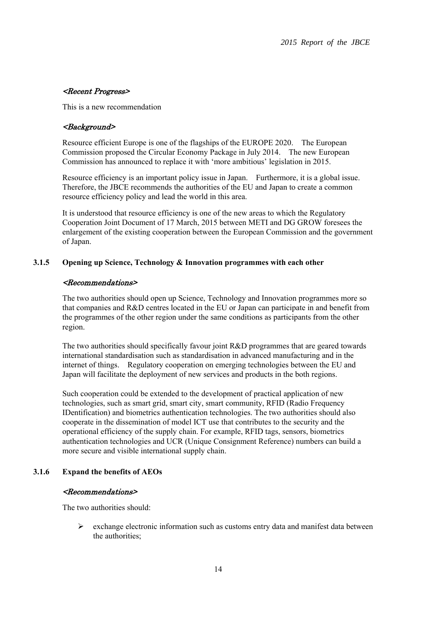## <Recent Progress>

This is a new recommendation

## <Background>

Resource efficient Europe is one of the flagships of the EUROPE 2020. The European Commission proposed the Circular Economy Package in July 2014. The new European Commission has announced to replace it with 'more ambitious' legislation in 2015.

Resource efficiency is an important policy issue in Japan. Furthermore, it is a global issue. Therefore, the JBCE recommends the authorities of the EU and Japan to create a common resource efficiency policy and lead the world in this area.

It is understood that resource efficiency is one of the new areas to which the Regulatory Cooperation Joint Document of 17 March, 2015 between METI and DG GROW foresees the enlargement of the existing cooperation between the European Commission and the government of Japan.

## **3.1.5 Opening up Science, Technology & Innovation programmes with each other**

## <Recommendations>

The two authorities should open up Science, Technology and Innovation programmes more so that companies and R&D centres located in the EU or Japan can participate in and benefit from the programmes of the other region under the same conditions as participants from the other region.

The two authorities should specifically favour joint R&D programmes that are geared towards international standardisation such as standardisation in advanced manufacturing and in the internet of things. Regulatory cooperation on emerging technologies between the EU and Japan will facilitate the deployment of new services and products in the both regions.

Such cooperation could be extended to the development of practical application of new technologies, such as smart grid, smart city, smart community, RFID (Radio Frequency IDentification) and biometrics authentication technologies. The two authorities should also cooperate in the dissemination of model ICT use that contributes to the security and the operational efficiency of the supply chain. For example, RFID tags, sensors, biometrics authentication technologies and UCR (Unique Consignment Reference) numbers can build a more secure and visible international supply chain.

## **3.1.6 Expand the benefits of AEOs**

## <Recommendations>

The two authorities should:

 $\triangleright$  exchange electronic information such as customs entry data and manifest data between the authorities;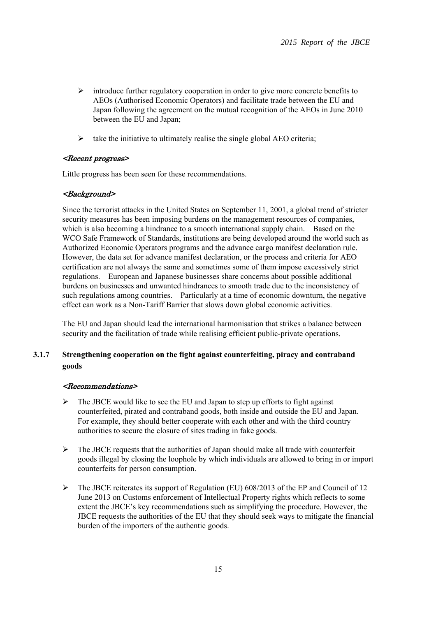- $\triangleright$  introduce further regulatory cooperation in order to give more concrete benefits to AEOs (Authorised Economic Operators) and facilitate trade between the EU and Japan following the agreement on the mutual recognition of the AEOs in June 2010 between the EU and Japan;
- $\triangleright$  take the initiative to ultimately realise the single global AEO criteria;

#### <Recent progress>

Little progress has been seen for these recommendations.

## <Background>

Since the terrorist attacks in the United States on September 11, 2001, a global trend of stricter security measures has been imposing burdens on the management resources of companies, which is also becoming a hindrance to a smooth international supply chain. Based on the WCO Safe Framework of Standards, institutions are being developed around the world such as Authorized Economic Operators programs and the advance cargo manifest declaration rule. However, the data set for advance manifest declaration, or the process and criteria for AEO certification are not always the same and sometimes some of them impose excessively strict regulations. European and Japanese businesses share concerns about possible additional burdens on businesses and unwanted hindrances to smooth trade due to the inconsistency of such regulations among countries. Particularly at a time of economic downturn, the negative effect can work as a Non-Tariff Barrier that slows down global economic activities.

The EU and Japan should lead the international harmonisation that strikes a balance between security and the facilitation of trade while realising efficient public-private operations.

## **3.1.7 Strengthening cooperation on the fight against counterfeiting, piracy and contraband goods**

#### <Recommendations>

- $\triangleright$  The JBCE would like to see the EU and Japan to step up efforts to fight against counterfeited, pirated and contraband goods, both inside and outside the EU and Japan. For example, they should better cooperate with each other and with the third country authorities to secure the closure of sites trading in fake goods.
- $\triangleright$  The JBCE requests that the authorities of Japan should make all trade with counterfeit goods illegal by closing the loophole by which individuals are allowed to bring in or import counterfeits for person consumption.
- $\triangleright$  The JBCE reiterates its support of Regulation (EU) 608/2013 of the EP and Council of 12 June 2013 on Customs enforcement of Intellectual Property rights which reflects to some extent the JBCE's key recommendations such as simplifying the procedure. However, the JBCE requests the authorities of the EU that they should seek ways to mitigate the financial burden of the importers of the authentic goods.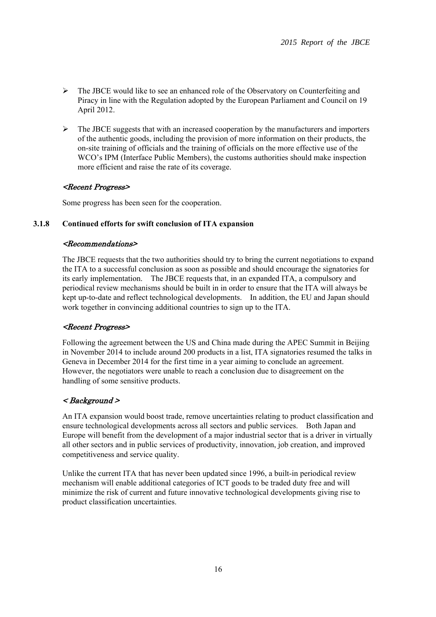- $\triangleright$  The JBCE would like to see an enhanced role of the Observatory on Counterfeiting and Piracy in line with the Regulation adopted by the European Parliament and Council on 19 April 2012.
- $\triangleright$  The JBCE suggests that with an increased cooperation by the manufacturers and importers of the authentic goods, including the provision of more information on their products, the on-site training of officials and the training of officials on the more effective use of the WCO's IPM (Interface Public Members), the customs authorities should make inspection more efficient and raise the rate of its coverage.

## <Recent Progress>

Some progress has been seen for the cooperation.

## **3.1.8 Continued efforts for swift conclusion of ITA expansion**

#### <Recommendations>

The JBCE requests that the two authorities should try to bring the current negotiations to expand the ITA to a successful conclusion as soon as possible and should encourage the signatories for its early implementation. The JBCE requests that, in an expanded ITA, a compulsory and periodical review mechanisms should be built in in order to ensure that the ITA will always be kept up-to-date and reflect technological developments. In addition, the EU and Japan should work together in convincing additional countries to sign up to the ITA.

#### <Recent Progress>

Following the agreement between the US and China made during the APEC Summit in Beijing in November 2014 to include around 200 products in a list, ITA signatories resumed the talks in Geneva in December 2014 for the first time in a year aiming to conclude an agreement. However, the negotiators were unable to reach a conclusion due to disagreement on the handling of some sensitive products.

## < Background >

An ITA expansion would boost trade, remove uncertainties relating to product classification and ensure technological developments across all sectors and public services. Both Japan and Europe will benefit from the development of a major industrial sector that is a driver in virtually all other sectors and in public services of productivity, innovation, job creation, and improved competitiveness and service quality.

Unlike the current ITA that has never been updated since 1996, a built-in periodical review mechanism will enable additional categories of ICT goods to be traded duty free and will minimize the risk of current and future innovative technological developments giving rise to product classification uncertainties.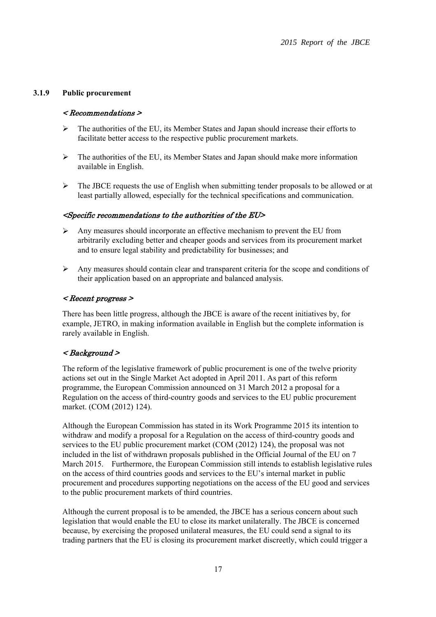## **3.1.9 Public procurement**

## < Recommendations >

- $\triangleright$  The authorities of the EU, its Member States and Japan should increase their efforts to facilitate better access to the respective public procurement markets.
- $\triangleright$  The authorities of the EU, its Member States and Japan should make more information available in English.
- $\triangleright$  The JBCE requests the use of English when submitting tender proposals to be allowed or at least partially allowed, especially for the technical specifications and communication.

## <Specific recommendations to the authorities of the EU>

- $\triangleright$  Any measures should incorporate an effective mechanism to prevent the EU from arbitrarily excluding better and cheaper goods and services from its procurement market and to ensure legal stability and predictability for businesses; and
- $\triangleright$  Any measures should contain clear and transparent criteria for the scope and conditions of their application based on an appropriate and balanced analysis.

## < Recent progress >

There has been little progress, although the JBCE is aware of the recent initiatives by, for example, JETRO, in making information available in English but the complete information is rarely available in English.

## < Background >

The reform of the legislative framework of public procurement is one of the twelve priority actions set out in the Single Market Act adopted in April 2011. As part of this reform programme, the European Commission announced on 31 March 2012 a proposal for a Regulation on the access of third-country goods and services to the EU public procurement market. (COM (2012) 124).

Although the European Commission has stated in its Work Programme 2015 its intention to withdraw and modify a proposal for a Regulation on the access of third-country goods and services to the EU public procurement market (COM (2012) 124), the proposal was not included in the list of withdrawn proposals published in the Official Journal of the EU on 7 March 2015. Furthermore, the European Commission still intends to establish legislative rules on the access of third countries goods and services to the EU's internal market in public procurement and procedures supporting negotiations on the access of the EU good and services to the public procurement markets of third countries.

Although the current proposal is to be amended, the JBCE has a serious concern about such legislation that would enable the EU to close its market unilaterally. The JBCE is concerned because, by exercising the proposed unilateral measures, the EU could send a signal to its trading partners that the EU is closing its procurement market discreetly, which could trigger a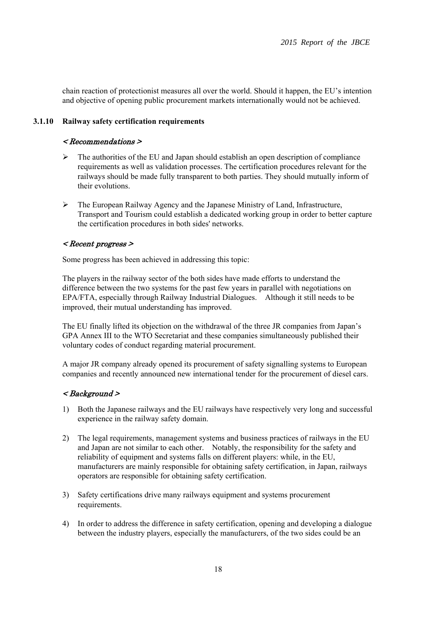chain reaction of protectionist measures all over the world. Should it happen, the EU's intention and objective of opening public procurement markets internationally would not be achieved.

#### **3.1.10 Railway safety certification requirements**

#### < Recommendations >

- $\triangleright$  The authorities of the EU and Japan should establish an open description of compliance requirements as well as validation processes. The certification procedures relevant for the railways should be made fully transparent to both parties. They should mutually inform of their evolutions.
- $\triangleright$  The European Railway Agency and the Japanese Ministry of Land, Infrastructure, Transport and Tourism could establish a dedicated working group in order to better capture the certification procedures in both sides' networks.

#### < Recent progress >

Some progress has been achieved in addressing this topic:

The players in the railway sector of the both sides have made efforts to understand the difference between the two systems for the past few years in parallel with negotiations on EPA/FTA, especially through Railway Industrial Dialogues. Although it still needs to be improved, their mutual understanding has improved.

The EU finally lifted its objection on the withdrawal of the three JR companies from Japan's GPA Annex III to the WTO Secretariat and these companies simultaneously published their voluntary codes of conduct regarding material procurement.

A major JR company already opened its procurement of safety signalling systems to European companies and recently announced new international tender for the procurement of diesel cars.

## < Background >

- 1) Both the Japanese railways and the EU railways have respectively very long and successful experience in the railway safety domain.
- 2) The legal requirements, management systems and business practices of railways in the EU and Japan are not similar to each other. Notably, the responsibility for the safety and reliability of equipment and systems falls on different players: while, in the EU, manufacturers are mainly responsible for obtaining safety certification, in Japan, railways operators are responsible for obtaining safety certification.
- 3) Safety certifications drive many railways equipment and systems procurement requirements.
- 4) In order to address the difference in safety certification, opening and developing a dialogue between the industry players, especially the manufacturers, of the two sides could be an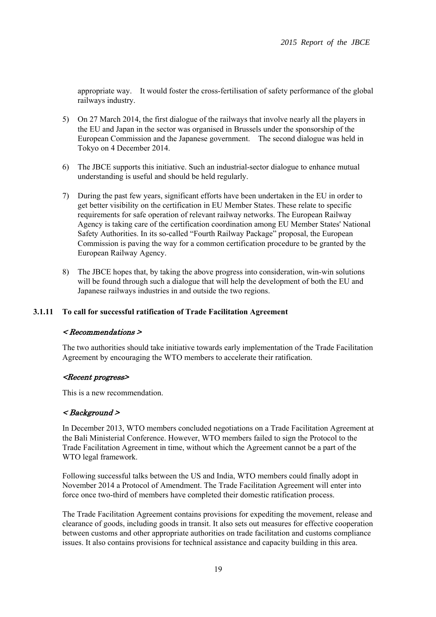appropriate way. It would foster the cross-fertilisation of safety performance of the global railways industry.

- 5) On 27 March 2014, the first dialogue of the railways that involve nearly all the players in the EU and Japan in the sector was organised in Brussels under the sponsorship of the European Commission and the Japanese government. The second dialogue was held in Tokyo on 4 December 2014.
- 6) The JBCE supports this initiative. Such an industrial-sector dialogue to enhance mutual understanding is useful and should be held regularly.
- 7) During the past few years, significant efforts have been undertaken in the EU in order to get better visibility on the certification in EU Member States. These relate to specific requirements for safe operation of relevant railway networks. The European Railway Agency is taking care of the certification coordination among EU Member States' National Safety Authorities. In its so-called "Fourth Railway Package" proposal, the European Commission is paving the way for a common certification procedure to be granted by the European Railway Agency.
- 8) The JBCE hopes that, by taking the above progress into consideration, win-win solutions will be found through such a dialogue that will help the development of both the EU and Japanese railways industries in and outside the two regions.

## **3.1.11 To call for successful ratification of Trade Facilitation Agreement**

#### < Recommendations >

The two authorities should take initiative towards early implementation of the Trade Facilitation Agreement by encouraging the WTO members to accelerate their ratification.

#### <Recent progress>

This is a new recommendation.

#### < Background >

In December 2013, WTO members concluded negotiations on a Trade Facilitation Agreement at the Bali Ministerial Conference. However, WTO members failed to sign the Protocol to the Trade Facilitation Agreement in time, without which the Agreement cannot be a part of the WTO legal framework.

Following successful talks between the US and India, WTO members could finally adopt in November 2014 a Protocol of Amendment. The Trade Facilitation Agreement will enter into force once two-third of members have completed their domestic ratification process.

The Trade Facilitation Agreement contains provisions for expediting the movement, release and clearance of goods, including goods in transit. It also sets out measures for effective cooperation between customs and other appropriate authorities on trade facilitation and customs compliance issues. It also contains provisions for technical assistance and capacity building in this area.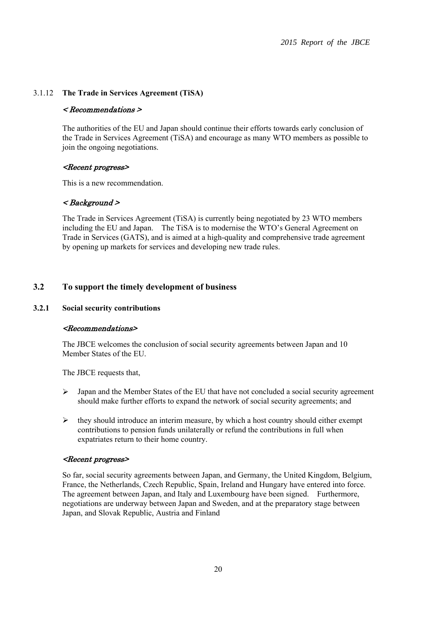## 3.1.12 **The Trade in Services Agreement (TiSA)**

#### < Recommendations >

The authorities of the EU and Japan should continue their efforts towards early conclusion of the Trade in Services Agreement (TiSA) and encourage as many WTO members as possible to join the ongoing negotiations.

## <Recent progress>

This is a new recommendation.

## < Background >

The Trade in Services Agreement (TiSA) is currently being negotiated by 23 WTO members including the EU and Japan. The TiSA is to modernise the WTO's General Agreement on Trade in Services (GATS), and is aimed at a high-quality and comprehensive trade agreement by opening up markets for services and developing new trade rules.

## **3.2 To support the timely development of business**

#### **3.2.1 Social security contributions**

#### <Recommendations>

The JBCE welcomes the conclusion of social security agreements between Japan and 10 Member States of the EU.

The JBCE requests that,

- $\triangleright$  Japan and the Member States of the EU that have not concluded a social security agreement should make further efforts to expand the network of social security agreements; and
- $\triangleright$  they should introduce an interim measure, by which a host country should either exempt contributions to pension funds unilaterally or refund the contributions in full when expatriates return to their home country.

#### <Recent progress>

So far, social security agreements between Japan, and Germany, the United Kingdom, Belgium, France, the Netherlands, Czech Republic, Spain, Ireland and Hungary have entered into force. The agreement between Japan, and Italy and Luxembourg have been signed. Furthermore, negotiations are underway between Japan and Sweden, and at the preparatory stage between Japan, and Slovak Republic, Austria and Finland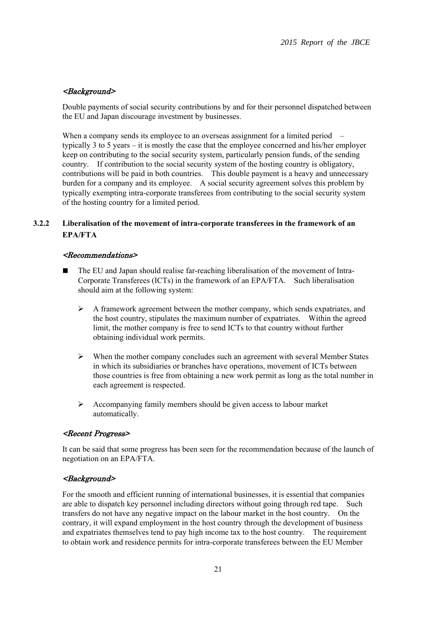## <Background>

Double payments of social security contributions by and for their personnel dispatched between the EU and Japan discourage investment by businesses.

When a company sends its employee to an overseas assignment for a limited period typically 3 to 5 years – it is mostly the case that the employee concerned and his/her employer keep on contributing to the social security system, particularly pension funds, of the sending country. If contribution to the social security system of the hosting country is obligatory, contributions will be paid in both countries. This double payment is a heavy and unnecessary burden for a company and its employee. A social security agreement solves this problem by typically exempting intra-corporate transferees from contributing to the social security system of the hosting country for a limited period.

## **3.2.2 Liberalisation of the movement of intra-corporate transferees in the framework of an EPA/FTA**

#### <Recommendations>

- The EU and Japan should realise far-reaching liberalisation of the movement of Intra-Corporate Transferees (ICTs) in the framework of an EPA/FTA. Such liberalisation should aim at the following system:
	- $\triangleright$  A framework agreement between the mother company, which sends expatriates, and the host country, stipulates the maximum number of expatriates. Within the agreed limit, the mother company is free to send ICTs to that country without further obtaining individual work permits.
	- $\triangleright$  When the mother company concludes such an agreement with several Member States in which its subsidiaries or branches have operations, movement of ICTs between those countries is free from obtaining a new work permit as long as the total number in each agreement is respected.
	- $\triangleright$  Accompanying family members should be given access to labour market automatically.

## <Recent Progress>

It can be said that some progress has been seen for the recommendation because of the launch of negotiation on an EPA/FTA.

## <Background>

For the smooth and efficient running of international businesses, it is essential that companies are able to dispatch key personnel including directors without going through red tape. Such transfers do not have any negative impact on the labour market in the host country. On the contrary, it will expand employment in the host country through the development of business and expatriates themselves tend to pay high income tax to the host country. The requirement to obtain work and residence permits for intra-corporate transferees between the EU Member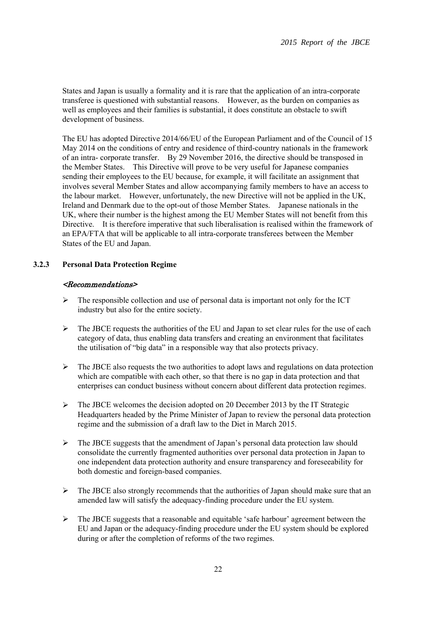States and Japan is usually a formality and it is rare that the application of an intra-corporate transferee is questioned with substantial reasons. However, as the burden on companies as well as employees and their families is substantial, it does constitute an obstacle to swift development of business.

The EU has adopted Directive 2014/66/EU of the European Parliament and of the Council of 15 May 2014 on the conditions of entry and residence of third-country nationals in the framework of an intra- corporate transfer. By 29 November 2016, the directive should be transposed in the Member States. This Directive will prove to be very useful for Japanese companies sending their employees to the EU because, for example, it will facilitate an assignment that involves several Member States and allow accompanying family members to have an access to the labour market. However, unfortunately, the new Directive will not be applied in the UK, Ireland and Denmark due to the opt-out of those Member States. Japanese nationals in the UK, where their number is the highest among the EU Member States will not benefit from this Directive. It is therefore imperative that such liberalisation is realised within the framework of an EPA/FTA that will be applicable to all intra-corporate transferees between the Member States of the EU and Japan.

#### **3.2.3 Personal Data Protection Regime**

#### <Recommendations>

- $\triangleright$  The responsible collection and use of personal data is important not only for the ICT industry but also for the entire society.
- $\triangleright$  The JBCE requests the authorities of the EU and Japan to set clear rules for the use of each category of data, thus enabling data transfers and creating an environment that facilitates the utilisation of "big data" in a responsible way that also protects privacy.
- $\triangleright$  The JBCE also requests the two authorities to adopt laws and regulations on data protection which are compatible with each other, so that there is no gap in data protection and that enterprises can conduct business without concern about different data protection regimes.
- $\triangleright$  The JBCE welcomes the decision adopted on 20 December 2013 by the IT Strategic Headquarters headed by the Prime Minister of Japan to review the personal data protection regime and the submission of a draft law to the Diet in March 2015.
- The JBCE suggests that the amendment of Japan's personal data protection law should consolidate the currently fragmented authorities over personal data protection in Japan to one independent data protection authority and ensure transparency and foreseeability for both domestic and foreign-based companies.
- $\triangleright$  The JBCE also strongly recommends that the authorities of Japan should make sure that an amended law will satisfy the adequacy-finding procedure under the EU system.
- The JBCE suggests that a reasonable and equitable 'safe harbour' agreement between the EU and Japan or the adequacy-finding procedure under the EU system should be explored during or after the completion of reforms of the two regimes.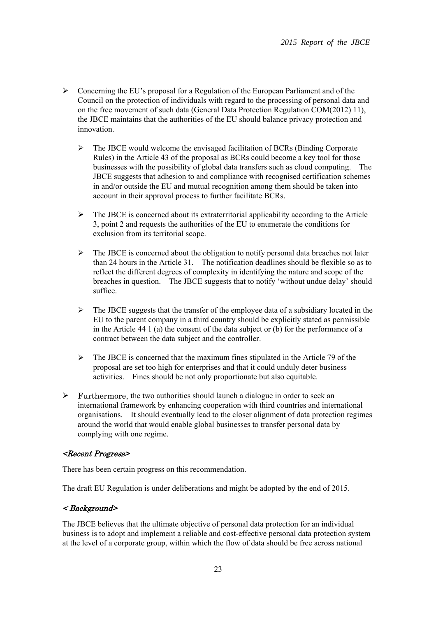- $\triangleright$  Concerning the EU's proposal for a Regulation of the European Parliament and of the Council on the protection of individuals with regard to the processing of personal data and on the free movement of such data (General Data Protection Regulation COM(2012) 11), the JBCE maintains that the authorities of the EU should balance privacy protection and innovation.
	- $\triangleright$  The JBCE would welcome the envisaged facilitation of BCRs (Binding Corporate Rules) in the Article 43 of the proposal as BCRs could become a key tool for those businesses with the possibility of global data transfers such as cloud computing. The JBCE suggests that adhesion to and compliance with recognised certification schemes in and/or outside the EU and mutual recognition among them should be taken into account in their approval process to further facilitate BCRs.
	- $\triangleright$  The JBCE is concerned about its extraterritorial applicability according to the Article 3, point 2 and requests the authorities of the EU to enumerate the conditions for exclusion from its territorial scope.
	- $\triangleright$  The JBCE is concerned about the obligation to notify personal data breaches not later than 24 hours in the Article 31. The notification deadlines should be flexible so as to reflect the different degrees of complexity in identifying the nature and scope of the breaches in question. The JBCE suggests that to notify 'without undue delay' should suffice.
	- $\triangleright$  The JBCE suggests that the transfer of the employee data of a subsidiary located in the EU to the parent company in a third country should be explicitly stated as permissible in the Article 44 1 (a) the consent of the data subject or (b) for the performance of a contract between the data subject and the controller.
	- $\triangleright$  The JBCE is concerned that the maximum fines stipulated in the Article 79 of the proposal are set too high for enterprises and that it could unduly deter business activities. Fines should be not only proportionate but also equitable.
- $\triangleright$  Furthermore, the two authorities should launch a dialogue in order to seek an international framework by enhancing cooperation with third countries and international organisations. It should eventually lead to the closer alignment of data protection regimes around the world that would enable global businesses to transfer personal data by complying with one regime.

#### <Recent Progress>

There has been certain progress on this recommendation.

The draft EU Regulation is under deliberations and might be adopted by the end of 2015.

#### < Background>

The JBCE believes that the ultimate objective of personal data protection for an individual business is to adopt and implement a reliable and cost-effective personal data protection system at the level of a corporate group, within which the flow of data should be free across national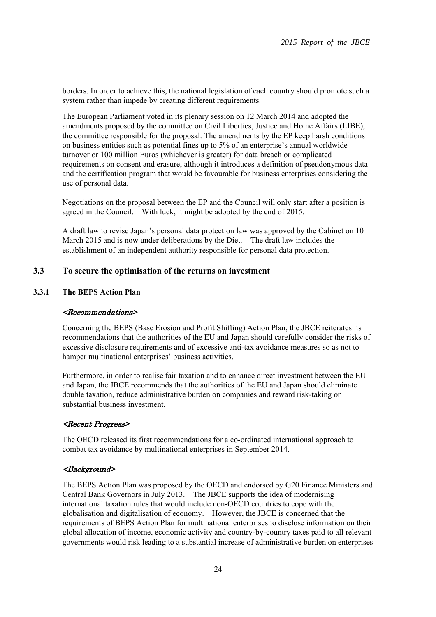borders. In order to achieve this, the national legislation of each country should promote such a system rather than impede by creating different requirements.

The European Parliament voted in its plenary session on 12 March 2014 and adopted the amendments proposed by the committee on Civil Liberties, Justice and Home Affairs (LIBE), the committee responsible for the proposal. The amendments by the EP keep harsh conditions on business entities such as potential fines up to 5% of an enterprise's annual worldwide turnover or 100 million Euros (whichever is greater) for data breach or complicated requirements on consent and erasure, although it introduces a definition of pseudonymous data and the certification program that would be favourable for business enterprises considering the use of personal data.

Negotiations on the proposal between the EP and the Council will only start after a position is agreed in the Council. With luck, it might be adopted by the end of 2015.

A draft law to revise Japan's personal data protection law was approved by the Cabinet on 10 March 2015 and is now under deliberations by the Diet. The draft law includes the establishment of an independent authority responsible for personal data protection.

## **3.3 To secure the optimisation of the returns on investment**

#### **3.3.1 The BEPS Action Plan**

#### <Recommendations>

Concerning the BEPS (Base Erosion and Profit Shifting) Action Plan, the JBCE reiterates its recommendations that the authorities of the EU and Japan should carefully consider the risks of excessive disclosure requirements and of excessive anti-tax avoidance measures so as not to hamper multinational enterprises' business activities.

Furthermore, in order to realise fair taxation and to enhance direct investment between the EU and Japan, the JBCE recommends that the authorities of the EU and Japan should eliminate double taxation, reduce administrative burden on companies and reward risk-taking on substantial business investment.

#### <Recent Progress>

The OECD released its first recommendations for a co-ordinated international approach to combat tax avoidance by multinational enterprises in September 2014.

#### <Background>

The BEPS Action Plan was proposed by the OECD and endorsed by G20 Finance Ministers and Central Bank Governors in July 2013. The JBCE supports the idea of modernising international taxation rules that would include non-OECD countries to cope with the globalisation and digitalisation of economy. However, the JBCE is concerned that the requirements of BEPS Action Plan for multinational enterprises to disclose information on their global allocation of income, economic activity and country-by-country taxes paid to all relevant governments would risk leading to a substantial increase of administrative burden on enterprises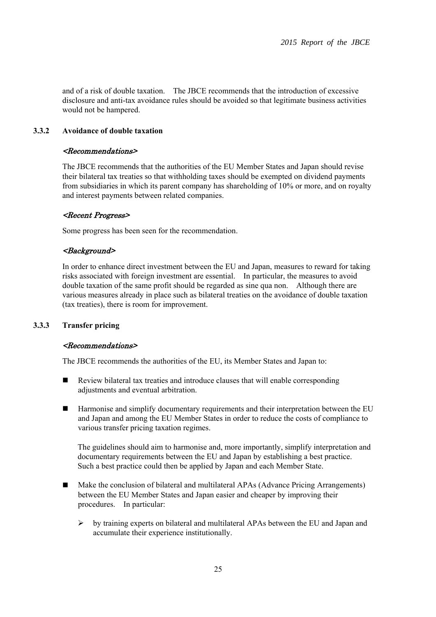and of a risk of double taxation. The JBCE recommends that the introduction of excessive disclosure and anti-tax avoidance rules should be avoided so that legitimate business activities would not be hampered.

#### **3.3.2 Avoidance of double taxation**

#### <Recommendations>

The JBCE recommends that the authorities of the EU Member States and Japan should revise their bilateral tax treaties so that withholding taxes should be exempted on dividend payments from subsidiaries in which its parent company has shareholding of 10% or more, and on royalty and interest payments between related companies.

#### <Recent Progress>

Some progress has been seen for the recommendation.

## <Background>

In order to enhance direct investment between the EU and Japan, measures to reward for taking risks associated with foreign investment are essential. In particular, the measures to avoid double taxation of the same profit should be regarded as sine qua non. Although there are various measures already in place such as bilateral treaties on the avoidance of double taxation (tax treaties), there is room for improvement.

## **3.3.3 Transfer pricing**

#### <Recommendations>

The JBCE recommends the authorities of the EU, its Member States and Japan to:

- Review bilateral tax treaties and introduce clauses that will enable corresponding adjustments and eventual arbitration.
- Harmonise and simplify documentary requirements and their interpretation between the EU and Japan and among the EU Member States in order to reduce the costs of compliance to various transfer pricing taxation regimes.

The guidelines should aim to harmonise and, more importantly, simplify interpretation and documentary requirements between the EU and Japan by establishing a best practice. Such a best practice could then be applied by Japan and each Member State.

- Make the conclusion of bilateral and multilateral APAs (Advance Pricing Arrangements) between the EU Member States and Japan easier and cheaper by improving their procedures. In particular:
	- $\triangleright$  by training experts on bilateral and multilateral APAs between the EU and Japan and accumulate their experience institutionally.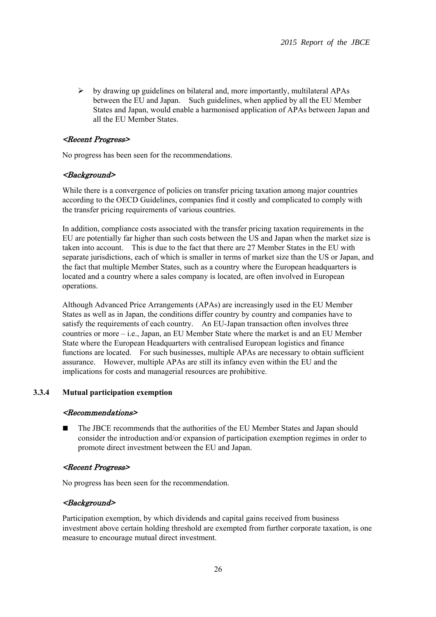$\triangleright$  by drawing up guidelines on bilateral and, more importantly, multilateral APAs between the EU and Japan. Such guidelines, when applied by all the EU Member States and Japan, would enable a harmonised application of APAs between Japan and all the EU Member States.

#### <Recent Progress>

No progress has been seen for the recommendations.

## <Background>

While there is a convergence of policies on transfer pricing taxation among major countries according to the OECD Guidelines, companies find it costly and complicated to comply with the transfer pricing requirements of various countries.

In addition, compliance costs associated with the transfer pricing taxation requirements in the EU are potentially far higher than such costs between the US and Japan when the market size is taken into account. This is due to the fact that there are 27 Member States in the EU with separate jurisdictions, each of which is smaller in terms of market size than the US or Japan, and the fact that multiple Member States, such as a country where the European headquarters is located and a country where a sales company is located, are often involved in European operations.

Although Advanced Price Arrangements (APAs) are increasingly used in the EU Member States as well as in Japan, the conditions differ country by country and companies have to satisfy the requirements of each country. An EU-Japan transaction often involves three countries or more  $-i.e.,$  Japan, an EU Member State where the market is and an EU Member State where the European Headquarters with centralised European logistics and finance functions are located. For such businesses, multiple APAs are necessary to obtain sufficient assurance. However, multiple APAs are still its infancy even within the EU and the implications for costs and managerial resources are prohibitive.

## **3.3.4 Mutual participation exemption**

#### <Recommendations>

■ The JBCE recommends that the authorities of the EU Member States and Japan should consider the introduction and/or expansion of participation exemption regimes in order to promote direct investment between the EU and Japan.

#### <Recent Progress>

No progress has been seen for the recommendation.

#### <Background>

Participation exemption, by which dividends and capital gains received from business investment above certain holding threshold are exempted from further corporate taxation, is one measure to encourage mutual direct investment.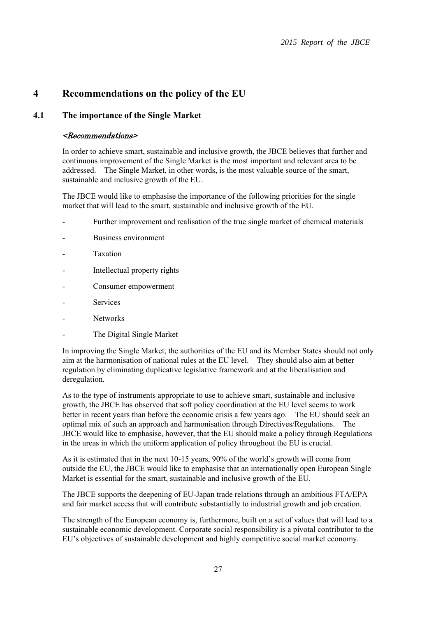## **4 Recommendations on the policy of the EU**

## **4.1 The importance of the Single Market**

## <Recommendations>

In order to achieve smart, sustainable and inclusive growth, the JBCE believes that further and continuous improvement of the Single Market is the most important and relevant area to be addressed. The Single Market, in other words, is the most valuable source of the smart, sustainable and inclusive growth of the EU.

The JBCE would like to emphasise the importance of the following priorities for the single market that will lead to the smart, sustainable and inclusive growth of the EU.

- Further improvement and realisation of the true single market of chemical materials
- Business environment
- **Taxation**
- Intellectual property rights
- Consumer empowerment
- **Services**
- **Networks**
- The Digital Single Market

In improving the Single Market, the authorities of the EU and its Member States should not only aim at the harmonisation of national rules at the EU level. They should also aim at better regulation by eliminating duplicative legislative framework and at the liberalisation and deregulation.

As to the type of instruments appropriate to use to achieve smart, sustainable and inclusive growth, the JBCE has observed that soft policy coordination at the EU level seems to work better in recent years than before the economic crisis a few years ago. The EU should seek an optimal mix of such an approach and harmonisation through Directives/Regulations. The JBCE would like to emphasise, however, that the EU should make a policy through Regulations in the areas in which the uniform application of policy throughout the EU is crucial.

As it is estimated that in the next 10-15 years, 90% of the world's growth will come from outside the EU, the JBCE would like to emphasise that an internationally open European Single Market is essential for the smart, sustainable and inclusive growth of the EU.

The JBCE supports the deepening of EU-Japan trade relations through an ambitious FTA/EPA and fair market access that will contribute substantially to industrial growth and job creation.

The strength of the European economy is, furthermore, built on a set of values that will lead to a sustainable economic development. Corporate social responsibility is a pivotal contributor to the EU's objectives of sustainable development and highly competitive social market economy.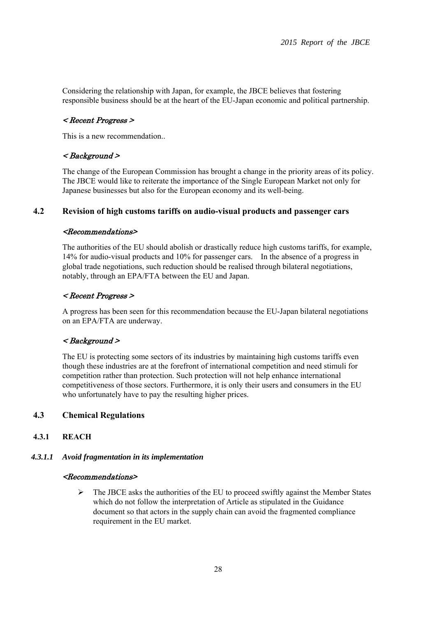Considering the relationship with Japan, for example, the JBCE believes that fostering responsible business should be at the heart of the EU-Japan economic and political partnership.

#### < Recent Progress >

This is a new recommendation..

#### < Background >

The change of the European Commission has brought a change in the priority areas of its policy. The JBCE would like to reiterate the importance of the Single European Market not only for Japanese businesses but also for the European economy and its well-being.

## **4.2 Revision of high customs tariffs on audio-visual products and passenger cars**

#### <Recommendations>

The authorities of the EU should abolish or drastically reduce high customs tariffs, for example, 14% for audio-visual products and 10% for passenger cars. In the absence of a progress in global trade negotiations, such reduction should be realised through bilateral negotiations, notably, through an EPA/FTA between the EU and Japan.

#### < Recent Progress >

A progress has been seen for this recommendation because the EU-Japan bilateral negotiations on an EPA/FTA are underway.

#### < Background >

The EU is protecting some sectors of its industries by maintaining high customs tariffs even though these industries are at the forefront of international competition and need stimuli for competition rather than protection. Such protection will not help enhance international competitiveness of those sectors. Furthermore, it is only their users and consumers in the EU who unfortunately have to pay the resulting higher prices.

## **4.3 Chemical Regulations**

## **4.3.1 REACH**

#### *4.3.1.1 Avoid fragmentation in its implementation*

#### <Recommendations>

 $\triangleright$  The JBCE asks the authorities of the EU to proceed swiftly against the Member States which do not follow the interpretation of Article as stipulated in the Guidance document so that actors in the supply chain can avoid the fragmented compliance requirement in the EU market.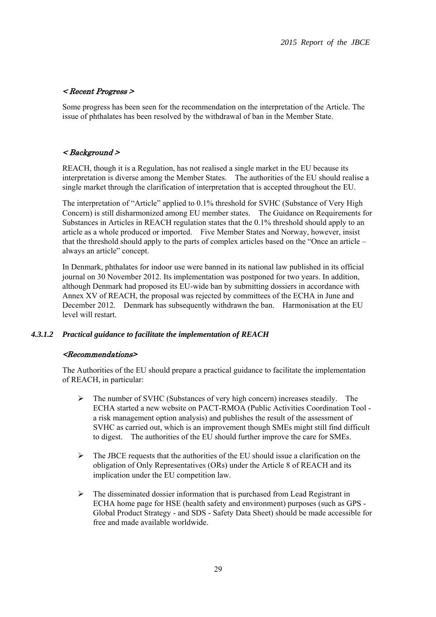## < Recent Progress >

Some progress has been seen for the recommendation on the interpretation of the Article. The issue of phthalates has been resolved by the withdrawal of ban in the Member State.

## < Background >

REACH, though it is a Regulation, has not realised a single market in the EU because its interpretation is diverse among the Member States. The authorities of the EU should realise a single market through the clarification of interpretation that is accepted throughout the EU.

The interpretation of "Article" applied to 0.1% threshold for SVHC (Substance of Very High Concern) is still disharmonized among EU member states. The Guidance on Requirements for Substances in Articles in REACH regulation states that the 0.1% threshold should apply to an article as a whole produced or imported. Five Member States and Norway, however, insist that the threshold should apply to the parts of complex articles based on the "Once an article – always an article" concept.

In Denmark, phthalates for indoor use were banned in its national law published in its official journal on 30 November 2012. Its implementation was postponed for two years. In addition, although Denmark had proposed its EU-wide ban by submitting dossiers in accordance with Annex XV of REACH, the proposal was rejected by committees of the ECHA in June and December 2012. Denmark has subsequently withdrawn the ban. Harmonisation at the EU level will restart.

## *4.3.1.2 Practical guidance to facilitate the implementation of REACH*

## <Recommendations>

The Authorities of the EU should prepare a practical guidance to facilitate the implementation of REACH, in particular:

- $\triangleright$  The number of SVHC (Substances of very high concern) increases steadily. The ECHA started a new website on PACT-RMOA (Public Activities Coordination Tool a risk management option analysis) and publishes the result of the assessment of SVHC as carried out, which is an improvement though SMEs might still find difficult to digest. The authorities of the EU should further improve the care for SMEs.
- $\triangleright$  The JBCE requests that the authorities of the EU should issue a clarification on the obligation of Only Representatives (ORs) under the Article 8 of REACH and its implication under the EU competition law.
- $\triangleright$  The disseminated dossier information that is purchased from Lead Registrant in ECHA home page for HSE (health safety and environment) purposes (such as GPS - Global Product Strategy - and SDS - Safety Data Sheet) should be made accessible for free and made available worldwide.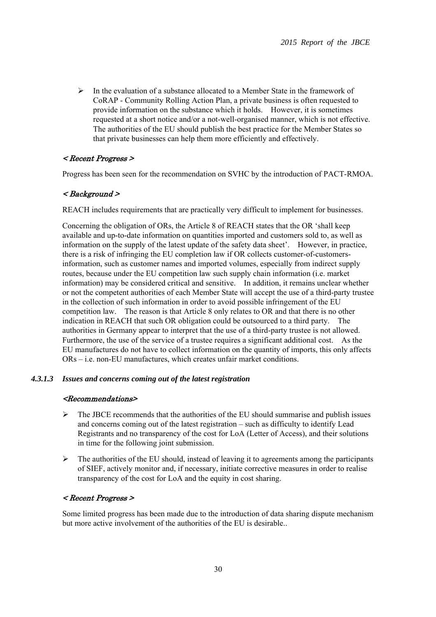$\triangleright$  In the evaluation of a substance allocated to a Member State in the framework of CoRAP - Community Rolling Action Plan, a private business is often requested to provide information on the substance which it holds. However, it is sometimes requested at a short notice and/or a not-well-organised manner, which is not effective. The authorities of the EU should publish the best practice for the Member States so that private businesses can help them more efficiently and effectively.

## < Recent Progress >

Progress has been seen for the recommendation on SVHC by the introduction of PACT-RMOA.

## < Background >

REACH includes requirements that are practically very difficult to implement for businesses.

Concerning the obligation of ORs, the Article 8 of REACH states that the OR 'shall keep available and up-to-date information on quantities imported and customers sold to, as well as information on the supply of the latest update of the safety data sheet'. However, in practice, there is a risk of infringing the EU completion law if OR collects customer-of-customersinformation, such as customer names and imported volumes, especially from indirect supply routes, because under the EU competition law such supply chain information (i.e. market information) may be considered critical and sensitive. In addition, it remains unclear whether or not the competent authorities of each Member State will accept the use of a third-party trustee in the collection of such information in order to avoid possible infringement of the EU competition law. The reason is that Article 8 only relates to OR and that there is no other indication in REACH that such OR obligation could be outsourced to a third party. The authorities in Germany appear to interpret that the use of a third-party trustee is not allowed. Furthermore, the use of the service of a trustee requires a significant additional cost. As the EU manufactures do not have to collect information on the quantity of imports, this only affects ORs – i.e. non-EU manufactures, which creates unfair market conditions.

## *4.3.1.3 Issues and concerns coming out of the latest registration*

#### <Recommendations>

- $\triangleright$  The JBCE recommends that the authorities of the EU should summarise and publish issues and concerns coming out of the latest registration – such as difficulty to identify Lead Registrants and no transparency of the cost for LoA (Letter of Access), and their solutions in time for the following joint submission.
- $\triangleright$  The authorities of the EU should, instead of leaving it to agreements among the participants of SIEF, actively monitor and, if necessary, initiate corrective measures in order to realise transparency of the cost for LoA and the equity in cost sharing.

## < Recent Progress >

Some limited progress has been made due to the introduction of data sharing dispute mechanism but more active involvement of the authorities of the EU is desirable..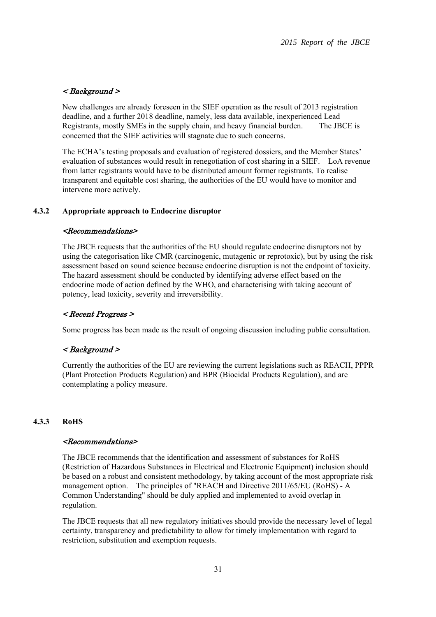## < Background >

New challenges are already foreseen in the SIEF operation as the result of 2013 registration deadline, and a further 2018 deadline, namely, less data available, inexperienced Lead Registrants, mostly SMEs in the supply chain, and heavy financial burden. The JBCE is concerned that the SIEF activities will stagnate due to such concerns.

The ECHA's testing proposals and evaluation of registered dossiers, and the Member States' evaluation of substances would result in renegotiation of cost sharing in a SIEF. LoA revenue from latter registrants would have to be distributed amount former registrants. To realise transparent and equitable cost sharing, the authorities of the EU would have to monitor and intervene more actively.

## **4.3.2 Appropriate approach to Endocrine disruptor**

#### <Recommendations>

The JBCE requests that the authorities of the EU should regulate endocrine disruptors not by using the categorisation like CMR (carcinogenic, mutagenic or reprotoxic), but by using the risk assessment based on sound science because endocrine disruption is not the endpoint of toxicity. The hazard assessment should be conducted by identifying adverse effect based on the endocrine mode of action defined by the WHO, and characterising with taking account of potency, lead toxicity, severity and irreversibility.

## < Recent Progress >

Some progress has been made as the result of ongoing discussion including public consultation.

## < Background >

Currently the authorities of the EU are reviewing the current legislations such as REACH, PPPR (Plant Protection Products Regulation) and BPR (Biocidal Products Regulation), and are contemplating a policy measure.

## **4.3.3 RoHS**

#### <Recommendations>

The JBCE recommends that the identification and assessment of substances for RoHS (Restriction of Hazardous Substances in Electrical and Electronic Equipment) inclusion should be based on a robust and consistent methodology, by taking account of the most appropriate risk management option. The principles of "REACH and Directive 2011/65/EU (RoHS) - A Common Understanding" should be duly applied and implemented to avoid overlap in regulation.

The JBCE requests that all new regulatory initiatives should provide the necessary level of legal certainty, transparency and predictability to allow for timely implementation with regard to restriction, substitution and exemption requests.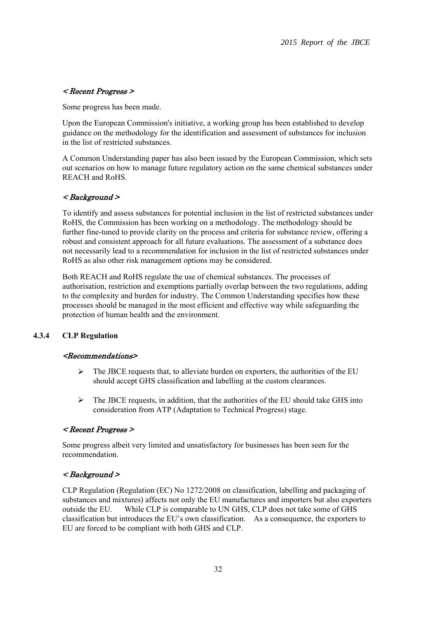## < Recent Progress >

Some progress has been made.

Upon the European Commission's initiative, a working group has been established to develop guidance on the methodology for the identification and assessment of substances for inclusion in the list of restricted substances.

A Common Understanding paper has also been issued by the European Commission, which sets out scenarios on how to manage future regulatory action on the same chemical substances under REACH and RoHS.

## < Background >

To identify and assess substances for potential inclusion in the list of restricted substances under RoHS, the Commission has been working on a methodology. The methodology should be further fine-tuned to provide clarity on the process and criteria for substance review, offering a robust and consistent approach for all future evaluations. The assessment of a substance does not necessarily lead to a recommendation for inclusion in the list of restricted substances under RoHS as also other risk management options may be considered.

Both REACH and RoHS regulate the use of chemical substances. The processes of authorisation, restriction and exemptions partially overlap between the two regulations, adding to the complexity and burden for industry. The Common Understanding specifies how these processes should be managed in the most efficient and effective way while safeguarding the protection of human health and the environment.

## **4.3.4 CLP Regulation**

#### <Recommendations>

- The JBCE requests that, to alleviate burden on exporters, the authorities of the EU should accept GHS classification and labelling at the custom clearances.
- $\triangleright$  The JBCE requests, in addition, that the authorities of the EU should take GHS into consideration from ATP (Adaptation to Technical Progress) stage.

## < Recent Progress >

Some progress albeit very limited and unsatisfactory for businesses has been seen for the recommendation.

## < Background >

CLP Regulation (Regulation (EC) No 1272/2008 on classification, labelling and packaging of substances and mixtures) affects not only the EU manufactures and importers but also exporters outside the EU. While CLP is comparable to UN GHS, CLP does not take some of GHS classification but introduces the EU's own classification. As a consequence, the exporters to EU are forced to be compliant with both GHS and CLP.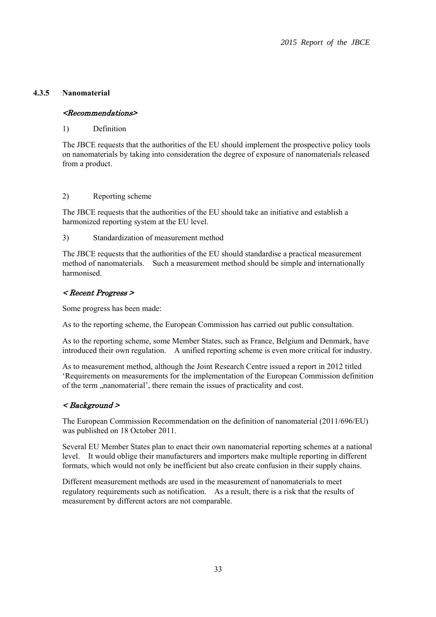## **4.3.5 Nanomaterial**

#### <Recommendations>

## 1) Definition

The JBCE requests that the authorities of the EU should implement the prospective policy tools on nanomaterials by taking into consideration the degree of exposure of nanomaterials released from a product.

## 2) Reporting scheme

The JBCE requests that the authorities of the EU should take an initiative and establish a harmonized reporting system at the EU level.

## 3) Standardization of measurement method

The JBCE requests that the authorities of the EU should standardise a practical measurement method of nanomaterials. Such a measurement method should be simple and internationally harmonised.

## < Recent Progress >

Some progress has been made:

As to the reporting scheme, the European Commission has carried out public consultation.

As to the reporting scheme, some Member States, such as France, Belgium and Denmark, have introduced their own regulation. A unified reporting scheme is even more critical for industry.

As to measurement method, although the Joint Research Centre issued a report in 2012 titled 'Requirements on measurements for the implementation of the European Commission definition of the term "nanomaterial', there remain the issues of practicality and cost.

## < Background >

The European Commission Recommendation on the definition of nanomaterial (2011/696/EU) was published on 18 October 2011.

Several EU Member States plan to enact their own nanomaterial reporting schemes at a national level. It would oblige their manufacturers and importers make multiple reporting in different formats, which would not only be inefficient but also create confusion in their supply chains.

Different measurement methods are used in the measurement of nanomaterials to meet regulatory requirements such as notification. As a result, there is a risk that the results of measurement by different actors are not comparable.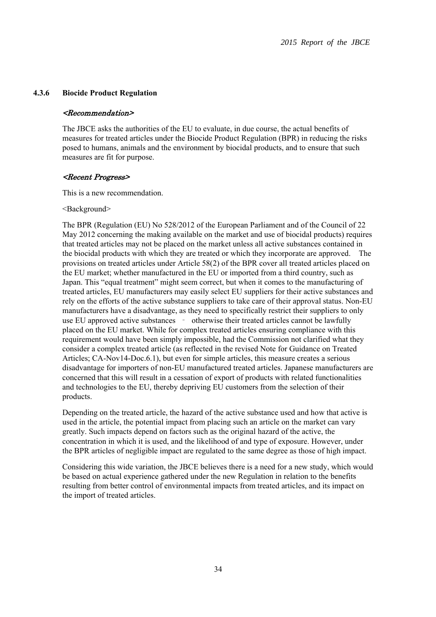## **4.3.6 Biocide Product Regulation**

#### <Recommendation>

The JBCE asks the authorities of the EU to evaluate, in due course, the actual benefits of measures for treated articles under the Biocide Product Regulation (BPR) in reducing the risks posed to humans, animals and the environment by biocidal products, and to ensure that such measures are fit for purpose.

## <Recent Progress>

This is a new recommendation.

## <Background>

The BPR (Regulation (EU) No 528/2012 of the European Parliament and of the Council of 22 May 2012 concerning the making available on the market and use of biocidal products) requires that treated articles may not be placed on the market unless all active substances contained in the biocidal products with which they are treated or which they incorporate are approved. The provisions on treated articles under Article 58(2) of the BPR cover all treated articles placed on the EU market; whether manufactured in the EU or imported from a third country, such as Japan. This "equal treatment" might seem correct, but when it comes to the manufacturing of treated articles, EU manufacturers may easily select EU suppliers for their active substances and rely on the efforts of the active substance suppliers to take care of their approval status. Non-EU manufacturers have a disadvantage, as they need to specifically restrict their suppliers to only use EU approved active substances – otherwise their treated articles cannot be lawfully placed on the EU market. While for complex treated articles ensuring compliance with this requirement would have been simply impossible, had the Commission not clarified what they consider a complex treated article (as reflected in the revised Note for Guidance on Treated Articles; CA-Nov14-Doc.6.1), but even for simple articles, this measure creates a serious disadvantage for importers of non-EU manufactured treated articles. Japanese manufacturers are concerned that this will result in a cessation of export of products with related functionalities and technologies to the EU, thereby depriving EU customers from the selection of their products.

Depending on the treated article, the hazard of the active substance used and how that active is used in the article, the potential impact from placing such an article on the market can vary greatly. Such impacts depend on factors such as the original hazard of the active, the concentration in which it is used, and the likelihood of and type of exposure. However, under the BPR articles of negligible impact are regulated to the same degree as those of high impact.

Considering this wide variation, the JBCE believes there is a need for a new study, which would be based on actual experience gathered under the new Regulation in relation to the benefits resulting from better control of environmental impacts from treated articles, and its impact on the import of treated articles.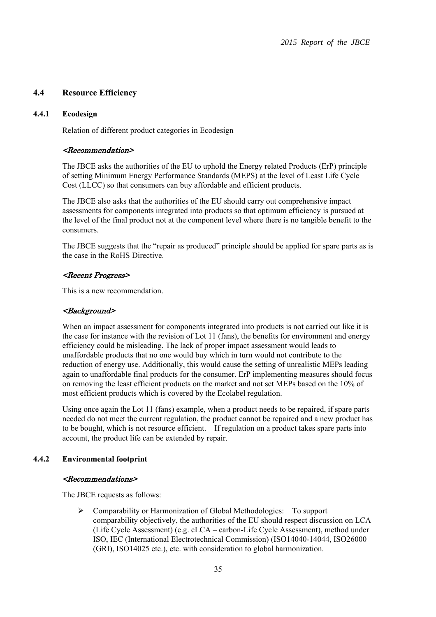## **4.4 Resource Efficiency**

## **4.4.1 Ecodesign**

Relation of different product categories in Ecodesign

#### <Recommendation>

The JBCE asks the authorities of the EU to uphold the Energy related Products (ErP) principle of setting Minimum Energy Performance Standards (MEPS) at the level of Least Life Cycle Cost (LLCC) so that consumers can buy affordable and efficient products.

The JBCE also asks that the authorities of the EU should carry out comprehensive impact assessments for components integrated into products so that optimum efficiency is pursued at the level of the final product not at the component level where there is no tangible benefit to the consumers.

The JBCE suggests that the "repair as produced" principle should be applied for spare parts as is the case in the RoHS Directive.

#### <Recent Progress>

This is a new recommendation.

## <Background>

When an impact assessment for components integrated into products is not carried out like it is the case for instance with the revision of Lot 11 (fans), the benefits for environment and energy efficiency could be misleading. The lack of proper impact assessment would leads to unaffordable products that no one would buy which in turn would not contribute to the reduction of energy use. Additionally, this would cause the setting of unrealistic MEPs leading again to unaffordable final products for the consumer. ErP implementing measures should focus on removing the least efficient products on the market and not set MEPs based on the 10% of most efficient products which is covered by the Ecolabel regulation.

Using once again the Lot 11 (fans) example, when a product needs to be repaired, if spare parts needed do not meet the current regulation, the product cannot be repaired and a new product has to be bought, which is not resource efficient. If regulation on a product takes spare parts into account, the product life can be extended by repair.

## **4.4.2 Environmental footprint**

#### <Recommendations>

The JBCE requests as follows:

 Comparability or Harmonization of Global Methodologies: To support comparability objectively, the authorities of the EU should respect discussion on LCA (Life Cycle Assessment) (e.g. cLCA – carbon-Life Cycle Assessment), method under ISO, IEC (International Electrotechnical Commission) (ISO14040-14044, ISO26000 (GRI), ISO14025 etc.), etc. with consideration to global harmonization.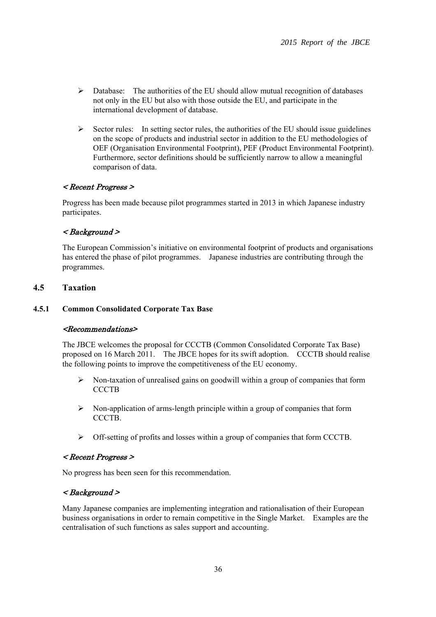- $\triangleright$  Database: The authorities of the EU should allow mutual recognition of databases not only in the EU but also with those outside the EU, and participate in the international development of database.
- $\triangleright$  Sector rules: In setting sector rules, the authorities of the EU should issue guidelines on the scope of products and industrial sector in addition to the EU methodologies of OEF (Organisation Environmental Footprint), PEF (Product Environmental Footprint). Furthermore, sector definitions should be sufficiently narrow to allow a meaningful comparison of data.

## < Recent Progress >

Progress has been made because pilot programmes started in 2013 in which Japanese industry participates.

## < Background >

The European Commission's initiative on environmental footprint of products and organisations has entered the phase of pilot programmes. Japanese industries are contributing through the programmes.

## **4.5 Taxation**

## **4.5.1 Common Consolidated Corporate Tax Base**

#### <Recommendations>

The JBCE welcomes the proposal for CCCTB (Common Consolidated Corporate Tax Base) proposed on 16 March 2011. The JBCE hopes for its swift adoption. CCCTB should realise the following points to improve the competitiveness of the EU economy.

- $\triangleright$  Non-taxation of unrealised gains on goodwill within a group of companies that form **CCCTB**
- $\triangleright$  Non-application of arms-length principle within a group of companies that form CCCTB.
- Off-setting of profits and losses within a group of companies that form CCCTB.

## < Recent Progress >

No progress has been seen for this recommendation.

## < Background >

Many Japanese companies are implementing integration and rationalisation of their European business organisations in order to remain competitive in the Single Market. Examples are the centralisation of such functions as sales support and accounting.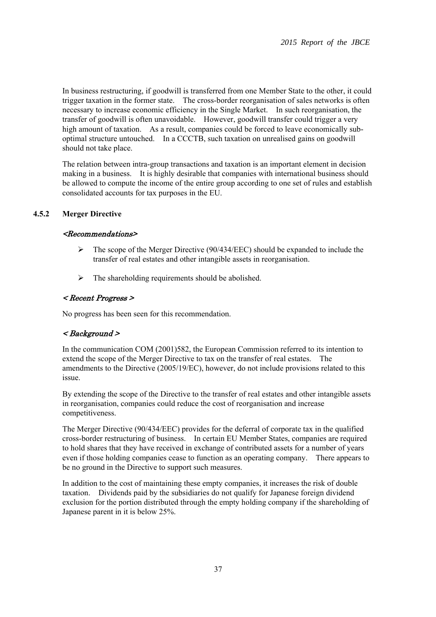In business restructuring, if goodwill is transferred from one Member State to the other, it could trigger taxation in the former state. The cross-border reorganisation of sales networks is often necessary to increase economic efficiency in the Single Market. In such reorganisation, the transfer of goodwill is often unavoidable. However, goodwill transfer could trigger a very high amount of taxation. As a result, companies could be forced to leave economically suboptimal structure untouched. In a CCCTB, such taxation on unrealised gains on goodwill should not take place.

The relation between intra-group transactions and taxation is an important element in decision making in a business. It is highly desirable that companies with international business should be allowed to compute the income of the entire group according to one set of rules and establish consolidated accounts for tax purposes in the EU.

#### **4.5.2 Merger Directive**

#### <Recommendations>

- $\triangleright$  The scope of the Merger Directive (90/434/EEC) should be expanded to include the transfer of real estates and other intangible assets in reorganisation.
- $\triangleright$  The shareholding requirements should be abolished.

#### < Recent Progress >

No progress has been seen for this recommendation.

## < Background >

In the communication COM (2001)582, the European Commission referred to its intention to extend the scope of the Merger Directive to tax on the transfer of real estates. The amendments to the Directive (2005/19/EC), however, do not include provisions related to this issue.

By extending the scope of the Directive to the transfer of real estates and other intangible assets in reorganisation, companies could reduce the cost of reorganisation and increase competitiveness.

The Merger Directive (90/434/EEC) provides for the deferral of corporate tax in the qualified cross-border restructuring of business. In certain EU Member States, companies are required to hold shares that they have received in exchange of contributed assets for a number of years even if those holding companies cease to function as an operating company. There appears to be no ground in the Directive to support such measures.

In addition to the cost of maintaining these empty companies, it increases the risk of double taxation. Dividends paid by the subsidiaries do not qualify for Japanese foreign dividend exclusion for the portion distributed through the empty holding company if the shareholding of Japanese parent in it is below 25%.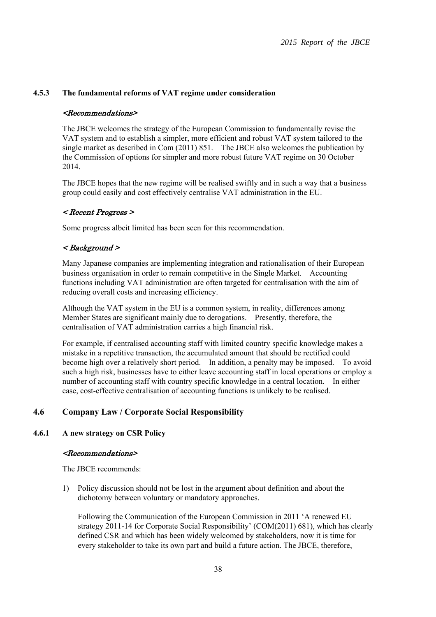## **4.5.3 The fundamental reforms of VAT regime under consideration**

#### <Recommendations>

The JBCE welcomes the strategy of the European Commission to fundamentally revise the VAT system and to establish a simpler, more efficient and robust VAT system tailored to the single market as described in Com (2011) 851. The JBCE also welcomes the publication by the Commission of options for simpler and more robust future VAT regime on 30 October 2014.

The JBCE hopes that the new regime will be realised swiftly and in such a way that a business group could easily and cost effectively centralise VAT administration in the EU.

## < Recent Progress >

Some progress albeit limited has been seen for this recommendation.

## < Background >

Many Japanese companies are implementing integration and rationalisation of their European business organisation in order to remain competitive in the Single Market. Accounting functions including VAT administration are often targeted for centralisation with the aim of reducing overall costs and increasing efficiency.

Although the VAT system in the EU is a common system, in reality, differences among Member States are significant mainly due to derogations. Presently, therefore, the centralisation of VAT administration carries a high financial risk.

For example, if centralised accounting staff with limited country specific knowledge makes a mistake in a repetitive transaction, the accumulated amount that should be rectified could become high over a relatively short period. In addition, a penalty may be imposed. To avoid such a high risk, businesses have to either leave accounting staff in local operations or employ a number of accounting staff with country specific knowledge in a central location. In either case, cost-effective centralisation of accounting functions is unlikely to be realised.

## **4.6 Company Law / Corporate Social Responsibility**

#### **4.6.1 A new strategy on CSR Policy**

#### <Recommendations>

The JBCE recommends:

1) Policy discussion should not be lost in the argument about definition and about the dichotomy between voluntary or mandatory approaches.

Following the Communication of the European Commission in 2011 'A renewed EU strategy 2011-14 for Corporate Social Responsibility' (COM(2011) 681), which has clearly defined CSR and which has been widely welcomed by stakeholders, now it is time for every stakeholder to take its own part and build a future action. The JBCE, therefore,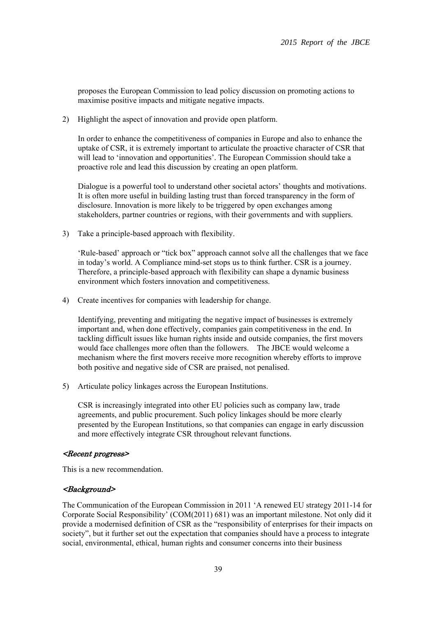proposes the European Commission to lead policy discussion on promoting actions to maximise positive impacts and mitigate negative impacts.

2) Highlight the aspect of innovation and provide open platform.

In order to enhance the competitiveness of companies in Europe and also to enhance the uptake of CSR, it is extremely important to articulate the proactive character of CSR that will lead to 'innovation and opportunities'. The European Commission should take a proactive role and lead this discussion by creating an open platform.

Dialogue is a powerful tool to understand other societal actors' thoughts and motivations. It is often more useful in building lasting trust than forced transparency in the form of disclosure. Innovation is more likely to be triggered by open exchanges among stakeholders, partner countries or regions, with their governments and with suppliers.

3) Take a principle-based approach with flexibility.

'Rule-based' approach or "tick box" approach cannot solve all the challenges that we face in today's world. A Compliance mind-set stops us to think further. CSR is a journey. Therefore, a principle-based approach with flexibility can shape a dynamic business environment which fosters innovation and competitiveness.

4) Create incentives for companies with leadership for change.

Identifying, preventing and mitigating the negative impact of businesses is extremely important and, when done effectively, companies gain competitiveness in the end. In tackling difficult issues like human rights inside and outside companies, the first movers would face challenges more often than the followers. The JBCE would welcome a mechanism where the first movers receive more recognition whereby efforts to improve both positive and negative side of CSR are praised, not penalised.

5) Articulate policy linkages across the European Institutions.

CSR is increasingly integrated into other EU policies such as company law, trade agreements, and public procurement. Such policy linkages should be more clearly presented by the European Institutions, so that companies can engage in early discussion and more effectively integrate CSR throughout relevant functions.

#### <Recent progress>

This is a new recommendation.

## <Background>

The Communication of the European Commission in 2011 'A renewed EU strategy 2011-14 for Corporate Social Responsibility' (COM(2011) 681) was an important milestone. Not only did it provide a modernised definition of CSR as the "responsibility of enterprises for their impacts on society", but it further set out the expectation that companies should have a process to integrate social, environmental, ethical, human rights and consumer concerns into their business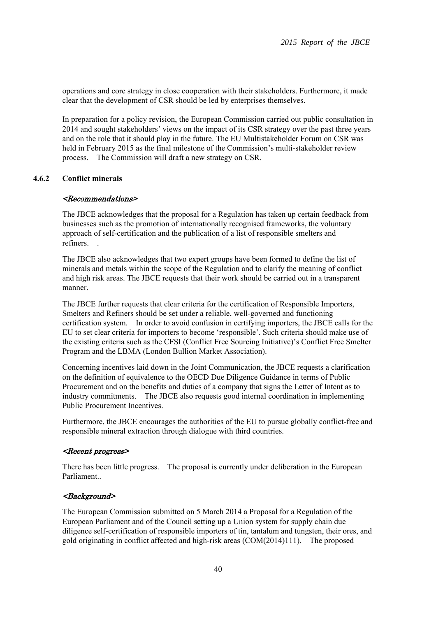operations and core strategy in close cooperation with their stakeholders. Furthermore, it made clear that the development of CSR should be led by enterprises themselves.

In preparation for a policy revision, the European Commission carried out public consultation in 2014 and sought stakeholders' views on the impact of its CSR strategy over the past three years and on the role that it should play in the future. The EU Multistakeholder Forum on CSR was held in February 2015 as the final milestone of the Commission's multi-stakeholder review process. The Commission will draft a new strategy on CSR.

#### **4.6.2 Conflict minerals**

#### <Recommendations>

The JBCE acknowledges that the proposal for a Regulation has taken up certain feedback from businesses such as the promotion of internationally recognised frameworks, the voluntary approach of self-certification and the publication of a list of responsible smelters and refiners. .

The JBCE also acknowledges that two expert groups have been formed to define the list of minerals and metals within the scope of the Regulation and to clarify the meaning of conflict and high risk areas. The JBCE requests that their work should be carried out in a transparent manner.

The JBCE further requests that clear criteria for the certification of Responsible Importers, Smelters and Refiners should be set under a reliable, well-governed and functioning certification system. In order to avoid confusion in certifying importers, the JBCE calls for the EU to set clear criteria for importers to become 'responsible'. Such criteria should make use of the existing criteria such as the CFSI (Conflict Free Sourcing Initiative)'s Conflict Free Smelter Program and the LBMA (London Bullion Market Association).

Concerning incentives laid down in the Joint Communication, the JBCE requests a clarification on the definition of equivalence to the OECD Due Diligence Guidance in terms of Public Procurement and on the benefits and duties of a company that signs the Letter of Intent as to industry commitments. The JBCE also requests good internal coordination in implementing Public Procurement Incentives.

Furthermore, the JBCE encourages the authorities of the EU to pursue globally conflict-free and responsible mineral extraction through dialogue with third countries.

#### <Recent progress>

There has been little progress. The proposal is currently under deliberation in the European Parliament..

## <Background>

The European Commission submitted on 5 March 2014 a Proposal for a Regulation of the European Parliament and of the Council setting up a Union system for supply chain due diligence self-certification of responsible importers of tin, tantalum and tungsten, their ores, and gold originating in conflict affected and high-risk areas (COM(2014)111). The proposed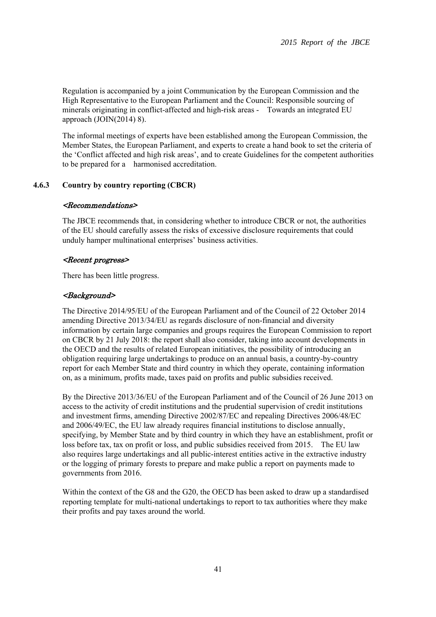Regulation is accompanied by a joint Communication by the European Commission and the High Representative to the European Parliament and the Council: Responsible sourcing of minerals originating in conflict-affected and high-risk areas - Towards an integrated EU approach (JOIN(2014) 8).

The informal meetings of experts have been established among the European Commission, the Member States, the European Parliament, and experts to create a hand book to set the criteria of the 'Conflict affected and high risk areas', and to create Guidelines for the competent authorities to be prepared for a harmonised accreditation.

## **4.6.3 Country by country reporting (CBCR)**

#### <Recommendations>

The JBCE recommends that, in considering whether to introduce CBCR or not, the authorities of the EU should carefully assess the risks of excessive disclosure requirements that could unduly hamper multinational enterprises' business activities.

## <Recent progress>

There has been little progress.

## <Background>

The Directive 2014/95/EU of the European Parliament and of the Council of 22 October 2014 amending Directive 2013/34/EU as regards disclosure of non-financial and diversity information by certain large companies and groups requires the European Commission to report on CBCR by 21 July 2018: the report shall also consider, taking into account developments in the OECD and the results of related European initiatives, the possibility of introducing an obligation requiring large undertakings to produce on an annual basis, a country-by-country report for each Member State and third country in which they operate, containing information on, as a minimum, profits made, taxes paid on profits and public subsidies received.

By the Directive 2013/36/EU of the European Parliament and of the Council of 26 June 2013 on access to the activity of credit institutions and the prudential supervision of credit institutions and investment firms, amending Directive 2002/87/EC and repealing Directives 2006/48/EC and 2006/49/EC, the EU law already requires financial institutions to disclose annually, specifying, by Member State and by third country in which they have an establishment, profit or loss before tax, tax on profit or loss, and public subsidies received from 2015. The EU law also requires large undertakings and all public-interest entities active in the extractive industry or the logging of primary forests to prepare and make public a report on payments made to governments from 2016.

Within the context of the G8 and the G20, the OECD has been asked to draw up a standardised reporting template for multi-national undertakings to report to tax authorities where they make their profits and pay taxes around the world.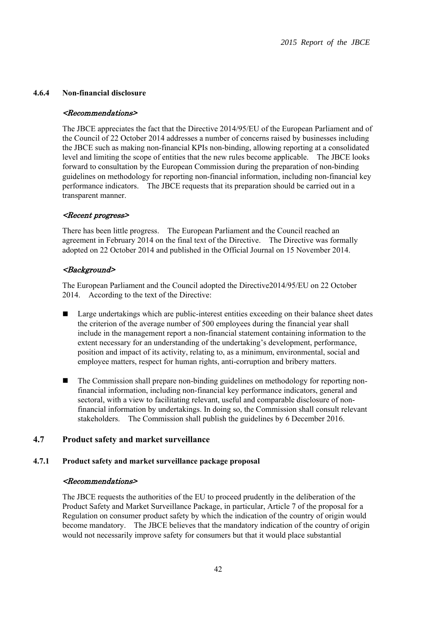## **4.6.4 Non-financial disclosure**

#### <Recommendations>

The JBCE appreciates the fact that the Directive 2014/95/EU of the European Parliament and of the Council of 22 October 2014 addresses a number of concerns raised by businesses including the JBCE such as making non-financial KPIs non-binding, allowing reporting at a consolidated level and limiting the scope of entities that the new rules become applicable. The JBCE looks forward to consultation by the European Commission during the preparation of non-binding guidelines on methodology for reporting non-financial information, including non-financial key performance indicators. The JBCE requests that its preparation should be carried out in a transparent manner.

#### <Recent progress>

There has been little progress. The European Parliament and the Council reached an agreement in February 2014 on the final text of the Directive. The Directive was formally adopted on 22 October 2014 and published in the Official Journal on 15 November 2014.

#### <Background>

The European Parliament and the Council adopted the Directive2014/95/EU on 22 October 2014. According to the text of the Directive:

- Large undertakings which are public-interest entities exceeding on their balance sheet dates the criterion of the average number of 500 employees during the financial year shall include in the management report a non-financial statement containing information to the extent necessary for an understanding of the undertaking's development, performance, position and impact of its activity, relating to, as a minimum, environmental, social and employee matters, respect for human rights, anti-corruption and bribery matters.
- The Commission shall prepare non-binding guidelines on methodology for reporting nonfinancial information, including non-financial key performance indicators, general and sectoral, with a view to facilitating relevant, useful and comparable disclosure of nonfinancial information by undertakings. In doing so, the Commission shall consult relevant stakeholders. The Commission shall publish the guidelines by 6 December 2016.

## **4.7 Product safety and market surveillance**

#### **4.7.1 Product safety and market surveillance package proposal**

#### <Recommendations>

The JBCE requests the authorities of the EU to proceed prudently in the deliberation of the Product Safety and Market Surveillance Package, in particular, Article 7 of the proposal for a Regulation on consumer product safety by which the indication of the country of origin would become mandatory. The JBCE believes that the mandatory indication of the country of origin would not necessarily improve safety for consumers but that it would place substantial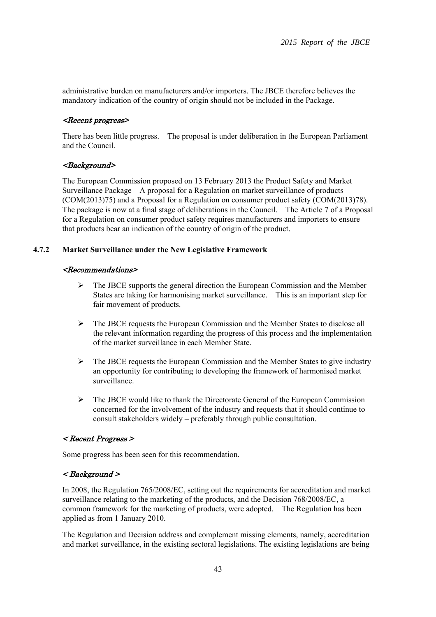administrative burden on manufacturers and/or importers. The JBCE therefore believes the mandatory indication of the country of origin should not be included in the Package.

#### <Recent progress>

There has been little progress. The proposal is under deliberation in the European Parliament and the Council.

## <Background>

The European Commission proposed on 13 February 2013 the Product Safety and Market Surveillance Package – A proposal for a Regulation on market surveillance of products (COM(2013)75) and a Proposal for a Regulation on consumer product safety (COM(2013)78). The package is now at a final stage of deliberations in the Council. The Article 7 of a Proposal for a Regulation on consumer product safety requires manufacturers and importers to ensure that products bear an indication of the country of origin of the product.

## **4.7.2 Market Surveillance under the New Legislative Framework**

#### <Recommendations>

- $\triangleright$  The JBCE supports the general direction the European Commission and the Member States are taking for harmonising market surveillance. This is an important step for fair movement of products.
- $\triangleright$  The JBCE requests the European Commission and the Member States to disclose all the relevant information regarding the progress of this process and the implementation of the market surveillance in each Member State.
- $\triangleright$  The JBCE requests the European Commission and the Member States to give industry an opportunity for contributing to developing the framework of harmonised market surveillance.
- $\triangleright$  The JBCE would like to thank the Directorate General of the European Commission concerned for the involvement of the industry and requests that it should continue to consult stakeholders widely – preferably through public consultation.

## < Recent Progress >

Some progress has been seen for this recommendation.

## < Background >

In 2008, the Regulation 765/2008/EC, setting out the requirements for accreditation and market surveillance relating to the marketing of the products, and the Decision 768/2008/EC, a common framework for the marketing of products, were adopted. The Regulation has been applied as from 1 January 2010.

The Regulation and Decision address and complement missing elements, namely, accreditation and market surveillance, in the existing sectoral legislations. The existing legislations are being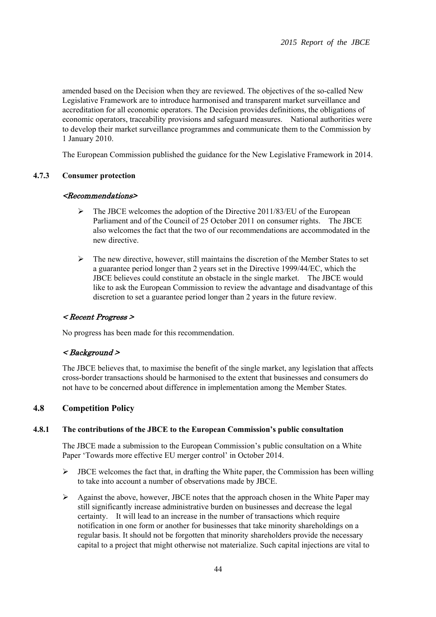amended based on the Decision when they are reviewed. The objectives of the so-called New Legislative Framework are to introduce harmonised and transparent market surveillance and accreditation for all economic operators. The Decision provides definitions, the obligations of economic operators, traceability provisions and safeguard measures. National authorities were to develop their market surveillance programmes and communicate them to the Commission by 1 January 2010.

The European Commission published the guidance for the New Legislative Framework in 2014.

## **4.7.3 Consumer protection**

#### <Recommendations>

- $\triangleright$  The JBCE welcomes the adoption of the Directive 2011/83/EU of the European Parliament and of the Council of 25 October 2011 on consumer rights. The JBCE also welcomes the fact that the two of our recommendations are accommodated in the new directive.
- $\triangleright$  The new directive, however, still maintains the discretion of the Member States to set a guarantee period longer than 2 years set in the Directive 1999/44/EC, which the JBCE believes could constitute an obstacle in the single market. The JBCE would like to ask the European Commission to review the advantage and disadvantage of this discretion to set a guarantee period longer than 2 years in the future review.

## < Recent Progress >

No progress has been made for this recommendation.

## < Background >

The JBCE believes that, to maximise the benefit of the single market, any legislation that affects cross-border transactions should be harmonised to the extent that businesses and consumers do not have to be concerned about difference in implementation among the Member States.

## **4.8 Competition Policy**

#### **4.8.1 The contributions of the JBCE to the European Commission's public consultation**

The JBCE made a submission to the European Commission's public consultation on a White Paper 'Towards more effective EU merger control' in October 2014.

- $\triangleright$  JBCE welcomes the fact that, in drafting the White paper, the Commission has been willing to take into account a number of observations made by JBCE.
- $\triangleright$  Against the above, however, JBCE notes that the approach chosen in the White Paper may still significantly increase administrative burden on businesses and decrease the legal certainty. It will lead to an increase in the number of transactions which require notification in one form or another for businesses that take minority shareholdings on a regular basis. It should not be forgotten that minority shareholders provide the necessary capital to a project that might otherwise not materialize. Such capital injections are vital to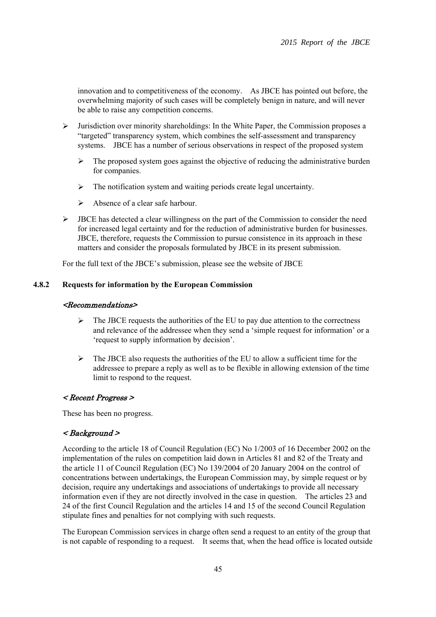innovation and to competitiveness of the economy. As JBCE has pointed out before, the overwhelming majority of such cases will be completely benign in nature, and will never be able to raise any competition concerns.

- $\triangleright$  Jurisdiction over minority shareholdings: In the White Paper, the Commission proposes a "targeted" transparency system, which combines the self-assessment and transparency systems. JBCE has a number of serious observations in respect of the proposed system
	- $\triangleright$  The proposed system goes against the objective of reducing the administrative burden for companies.
	- $\triangleright$  The notification system and waiting periods create legal uncertainty.
	- $\triangleright$  Absence of a clear safe harbour.
- $\triangleright$  JBCE has detected a clear willingness on the part of the Commission to consider the need for increased legal certainty and for the reduction of administrative burden for businesses. JBCE, therefore, requests the Commission to pursue consistence in its approach in these matters and consider the proposals formulated by JBCE in its present submission.

For the full text of the JBCE's submission, please see the website of JBCE

## **4.8.2 Requests for information by the European Commission**

#### <Recommendations>

- $\triangleright$  The JBCE requests the authorities of the EU to pay due attention to the correctness and relevance of the addressee when they send a 'simple request for information' or a 'request to supply information by decision'.
- $\triangleright$  The JBCE also requests the authorities of the EU to allow a sufficient time for the addressee to prepare a reply as well as to be flexible in allowing extension of the time limit to respond to the request.

#### < Recent Progress >

These has been no progress.

## < Background >

According to the article 18 of Council Regulation (EC) No 1/2003 of 16 December 2002 on the implementation of the rules on competition laid down in Articles 81 and 82 of the Treaty and the article 11 of Council Regulation (EC) No 139/2004 of 20 January 2004 on the control of concentrations between undertakings, the European Commission may, by simple request or by decision, require any undertakings and associations of undertakings to provide all necessary information even if they are not directly involved in the case in question. The articles 23 and 24 of the first Council Regulation and the articles 14 and 15 of the second Council Regulation stipulate fines and penalties for not complying with such requests.

The European Commission services in charge often send a request to an entity of the group that is not capable of responding to a request. It seems that, when the head office is located outside